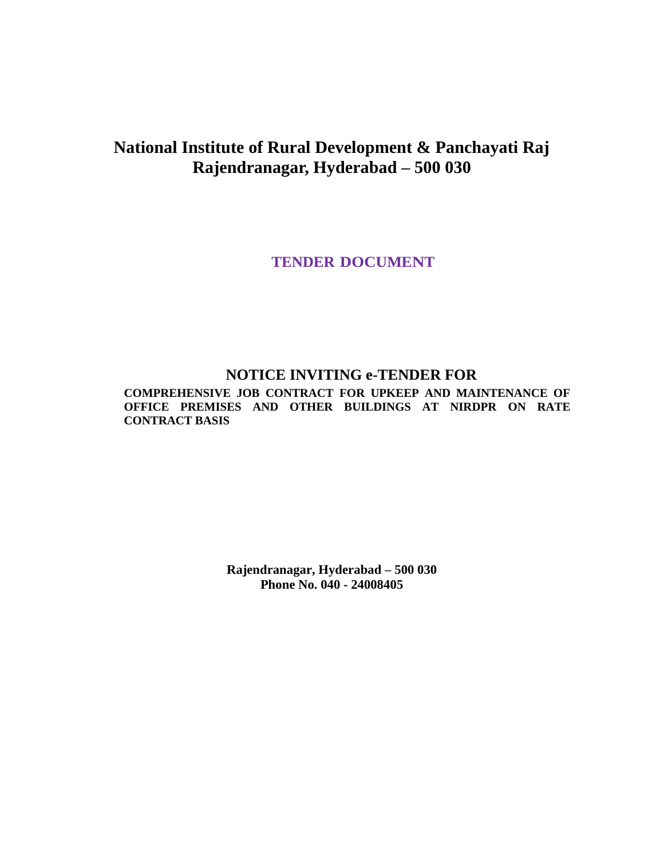# **National Institute of Rural Development & Panchayati Raj Rajendranagar, Hyderabad – 500 030**

**TENDER DOCUMENT**

# **NOTICE INVITING e-TENDER FOR**

**COMPREHENSIVE JOB CONTRACT FOR UPKEEP AND MAINTENANCE OF OFFICE PREMISES AND OTHER BUILDINGS AT NIRDPR ON RATE CONTRACT BASIS**

> **Rajendranagar, Hyderabad – 500 030 Phone No. 040 - 24008405**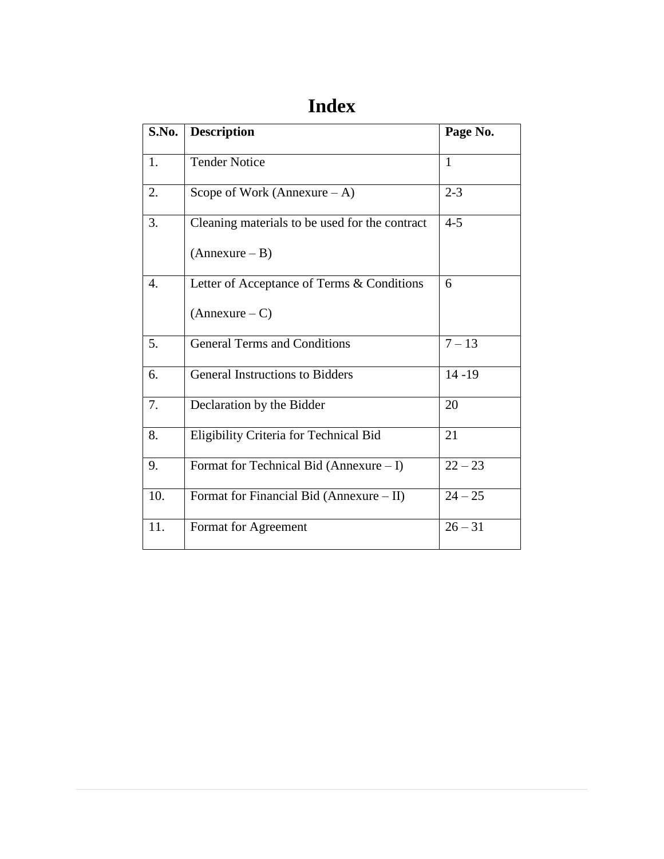# **Index**

| S.No. | <b>Description</b>                             | Page No.     |
|-------|------------------------------------------------|--------------|
| 1.    | <b>Tender Notice</b>                           | $\mathbf{1}$ |
| 2.    | Scope of Work (Annexure $-A$ )                 | $2 - 3$      |
| 3.    | Cleaning materials to be used for the contract | $4 - 5$      |
|       | $(Annexure - B)$                               |              |
| 4.    | Letter of Acceptance of Terms & Conditions     | 6            |
|       | $(Annexure - C)$                               |              |
| 5.    | <b>General Terms and Conditions</b>            | $7 - 13$     |
| 6.    | <b>General Instructions to Bidders</b>         | $14 - 19$    |
| 7.    | Declaration by the Bidder                      | 20           |
| 8.    | Eligibility Criteria for Technical Bid         | 21           |
| 9.    | Format for Technical Bid (Annexure $- I$ )     | $22 - 23$    |
| 10.   | Format for Financial Bid (Annexure - II)       | $24 - 25$    |
| 11.   | Format for Agreement                           | $26 - 31$    |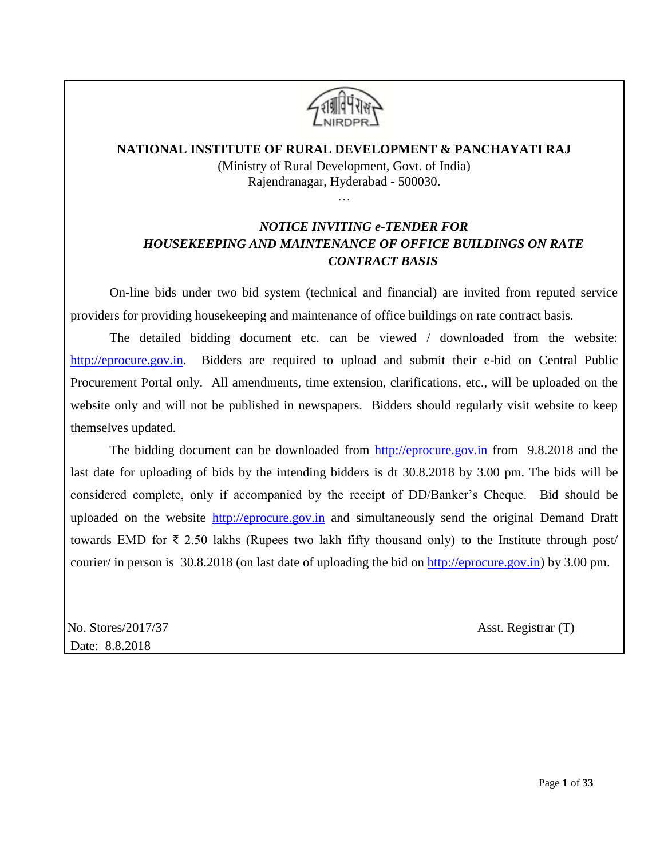

# **NATIONAL INSTITUTE OF RURAL DEVELOPMENT & PANCHAYATI RAJ**

(Ministry of Rural Development, Govt. of India) Rajendranagar, Hyderabad - 500030.

# …

# *NOTICE INVITING e-TENDER FOR HOUSEKEEPING AND MAINTENANCE OF OFFICE BUILDINGS ON RATE CONTRACT BASIS*

On-line bids under two bid system (technical and financial) are invited from reputed service providers for providing housekeeping and maintenance of office buildings on rate contract basis.

The detailed bidding document etc. can be viewed / downloaded from the website: [http://eprocure.gov.in.](http://eprocure.gov.in/) Bidders are required to upload and submit their e-bid on Central Public Procurement Portal only. All amendments, time extension, clarifications, etc., will be uploaded on the website only and will not be published in newspapers. Bidders should regularly visit website to keep themselves updated.

The bidding document can be downloaded from [http://eprocure.gov.in](http://eprocure.gov.in/) from 9.8.2018 and the last date for uploading of bids by the intending bidders is dt 30.8.2018 by 3.00 pm. The bids will be considered complete, only if accompanied by the receipt of DD/Banker's Cheque. Bid should be uploaded on the website [http://eprocure.gov.in](http://eprocure.gov.in/) and simultaneously send the original Demand Draft towards EMD for ₹ 2.50 lakhs (Rupees two lakh fifty thousand only) to the Institute through post/ courier/ in person is 30.8.2018 (on last date of uploading the bid on [http://eprocure.gov.in\)](http://eprocure.gov.in/) by 3.00 pm.

 No. Stores/2017/37 Asst. Registrar (T) Date: 8.8.2018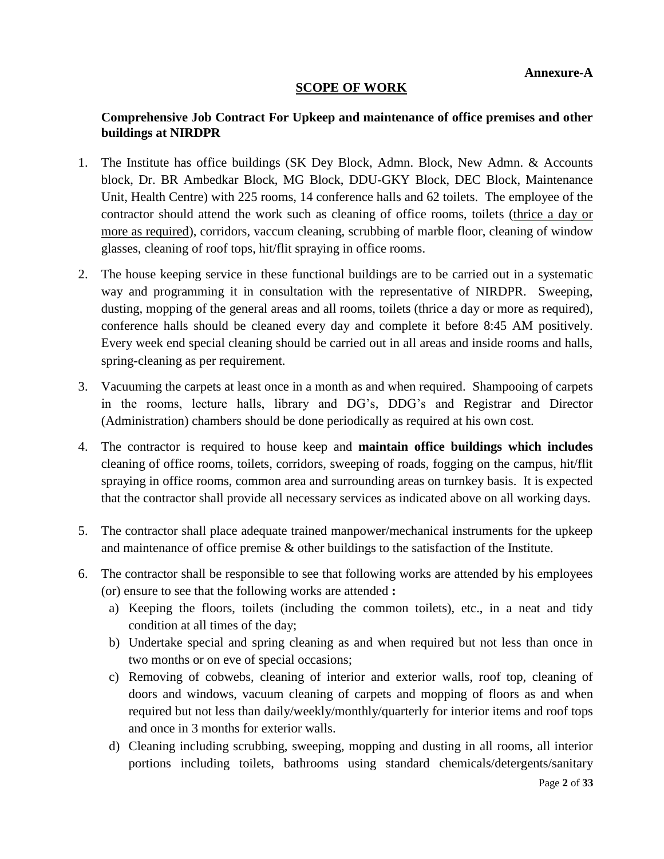## **SCOPE OF WORK**

# **Comprehensive Job Contract For Upkeep and maintenance of office premises and other buildings at NIRDPR**

- 1. The Institute has office buildings (SK Dey Block, Admn. Block, New Admn. & Accounts block, Dr. BR Ambedkar Block, MG Block, DDU-GKY Block, DEC Block, Maintenance Unit, Health Centre) with 225 rooms, 14 conference halls and 62 toilets. The employee of the contractor should attend the work such as cleaning of office rooms, toilets (thrice a day or more as required), corridors, vaccum cleaning, scrubbing of marble floor, cleaning of window glasses, cleaning of roof tops, hit/flit spraying in office rooms.
- 2. The house keeping service in these functional buildings are to be carried out in a systematic way and programming it in consultation with the representative of NIRDPR. Sweeping, dusting, mopping of the general areas and all rooms, toilets (thrice a day or more as required), conference halls should be cleaned every day and complete it before 8:45 AM positively. Every week end special cleaning should be carried out in all areas and inside rooms and halls, spring-cleaning as per requirement.
- 3. Vacuuming the carpets at least once in a month as and when required. Shampooing of carpets in the rooms, lecture halls, library and DG's, DDG's and Registrar and Director (Administration) chambers should be done periodically as required at his own cost.
- 4. The contractor is required to house keep and **maintain office buildings which includes** cleaning of office rooms, toilets, corridors, sweeping of roads, fogging on the campus, hit/flit spraying in office rooms, common area and surrounding areas on turnkey basis. It is expected that the contractor shall provide all necessary services as indicated above on all working days.
- 5. The contractor shall place adequate trained manpower/mechanical instruments for the upkeep and maintenance of office premise & other buildings to the satisfaction of the Institute.
- 6. The contractor shall be responsible to see that following works are attended by his employees (or) ensure to see that the following works are attended **:**
	- a) Keeping the floors, toilets (including the common toilets), etc., in a neat and tidy condition at all times of the day;
	- b) Undertake special and spring cleaning as and when required but not less than once in two months or on eve of special occasions;
	- c) Removing of cobwebs, cleaning of interior and exterior walls, roof top, cleaning of doors and windows, vacuum cleaning of carpets and mopping of floors as and when required but not less than daily/weekly/monthly/quarterly for interior items and roof tops and once in 3 months for exterior walls.
	- d) Cleaning including scrubbing, sweeping, mopping and dusting in all rooms, all interior portions including toilets, bathrooms using standard chemicals/detergents/sanitary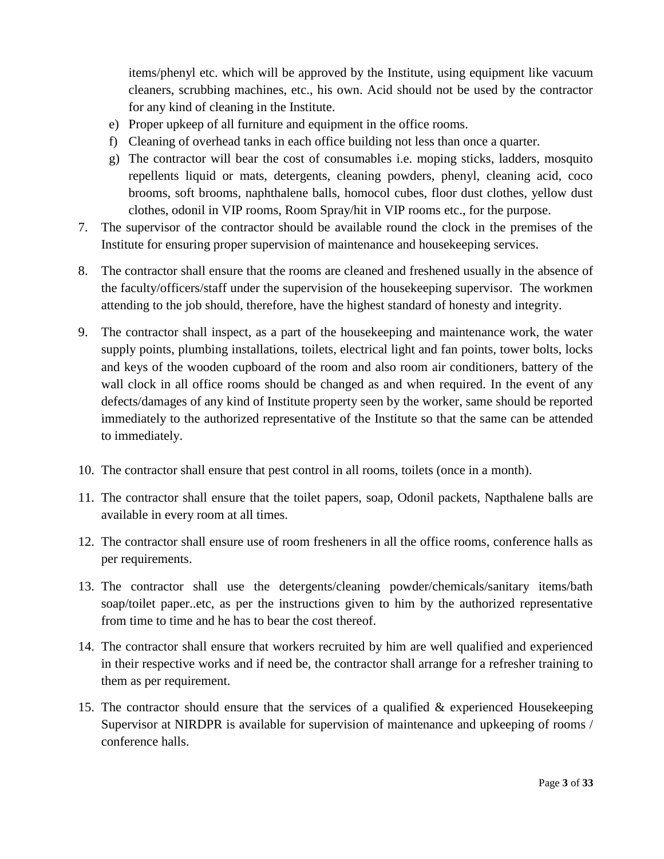items/phenyl etc. which will be approved by the Institute, using equipment like vacuum cleaners, scrubbing machines, etc., his own. Acid should not be used by the contractor for any kind of cleaning in the Institute.

- e) Proper upkeep of all furniture and equipment in the office rooms.
- f) Cleaning of overhead tanks in each office building not less than once a quarter.
- g) The contractor will bear the cost of consumables i.e. moping sticks, ladders, mosquito repellents liquid or mats, detergents, cleaning powders, phenyl, cleaning acid, coco brooms, soft brooms, naphthalene balls, homocol cubes, floor dust clothes, yellow dust clothes, odonil in VIP rooms, Room Spray/hit in VIP rooms etc., for the purpose.
- 7. The supervisor of the contractor should be available round the clock in the premises of the Institute for ensuring proper supervision of maintenance and housekeeping services.
- 8. The contractor shall ensure that the rooms are cleaned and freshened usually in the absence of the faculty/officers/staff under the supervision of the housekeeping supervisor. The workmen attending to the job should, therefore, have the highest standard of honesty and integrity.
- 9. The contractor shall inspect, as a part of the housekeeping and maintenance work, the water supply points, plumbing installations, toilets, electrical light and fan points, tower bolts, locks and keys of the wooden cupboard of the room and also room air conditioners, battery of the wall clock in all office rooms should be changed as and when required. In the event of any defects/damages of any kind of Institute property seen by the worker, same should be reported immediately to the authorized representative of the Institute so that the same can be attended to immediately.
- 10. The contractor shall ensure that pest control in all rooms, toilets (once in a month).
- 11. The contractor shall ensure that the toilet papers, soap, Odonil packets, Napthalene balls are available in every room at all times.
- 12. The contractor shall ensure use of room fresheners in all the office rooms, conference halls as per requirements.
- 13. The contractor shall use the detergents/cleaning powder/chemicals/sanitary items/bath soap/toilet paper..etc, as per the instructions given to him by the authorized representative from time to time and he has to bear the cost thereof.
- 14. The contractor shall ensure that workers recruited by him are well qualified and experienced in their respective works and if need be, the contractor shall arrange for a refresher training to them as per requirement.
- 15. The contractor should ensure that the services of a qualified & experienced Housekeeping Supervisor at NIRDPR is available for supervision of maintenance and upkeeping of rooms / conference halls.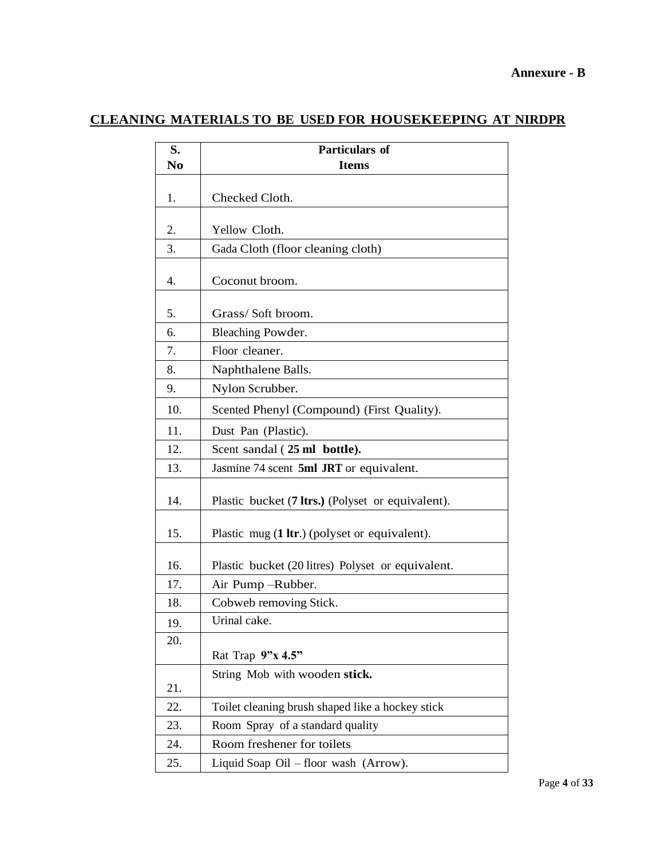# **CLEANING MATERIALS TO BE USED FOR HOUSEKEEPING AT NIRDPR**

| S.  | Particulars of                                    |  |  |
|-----|---------------------------------------------------|--|--|
| No  | <b>Items</b>                                      |  |  |
| 1.  | Checked Cloth.                                    |  |  |
| 2.  | Yellow Cloth.                                     |  |  |
| 3.  | Gada Cloth (floor cleaning cloth)                 |  |  |
| 4.  | Coconut broom.                                    |  |  |
| 5.  | Grass/Soft broom.                                 |  |  |
| 6.  | Bleaching Powder.                                 |  |  |
| 7.  | Floor cleaner.                                    |  |  |
| 8.  | Naphthalene Balls.                                |  |  |
| 9.  | Nylon Scrubber.                                   |  |  |
| 10. | Scented Phenyl (Compound) (First Quality).        |  |  |
| 11. | Dust Pan (Plastic).                               |  |  |
| 12. | Scent sandal (25 ml bottle).                      |  |  |
| 13. | Jasmine 74 scent 5ml JRT or equivalent.           |  |  |
| 14. | Plastic bucket (7 ltrs.) (Polyset or equivalent). |  |  |
| 15. | Plastic mug (1 ltr.) (polyset or equivalent).     |  |  |
| 16. | Plastic bucket (20 litres) Polyset or equivalent. |  |  |
| 17. | Air Pump-Rubber.                                  |  |  |
| 18. | Cobweb removing Stick.                            |  |  |
| 19. | Urinal cake.                                      |  |  |
| 20. |                                                   |  |  |
|     | Rat Trap 9"x 4.5"                                 |  |  |
| 21. | String Mob with wooden stick.                     |  |  |
| 22. | Toilet cleaning brush shaped like a hockey stick  |  |  |
| 23. | Room Spray of a standard quality                  |  |  |
| 24. | Room freshener for toilets                        |  |  |
| 25. | Liquid Soap Oil - floor wash (Arrow).             |  |  |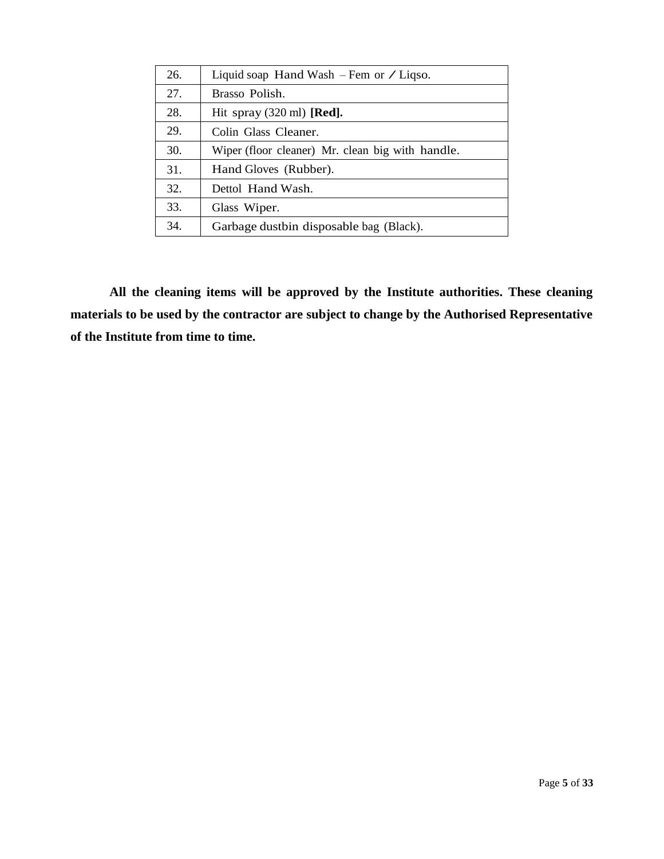| 26. | Liquid soap Hand Wash $-$ Fem or $\angle$ Liqso. |
|-----|--------------------------------------------------|
| 27. | Brasso Polish.                                   |
| 28. | Hit spray $(320 \text{ ml})$ [Red].              |
| 29. | Colin Glass Cleaner.                             |
| 30. | Wiper (floor cleaner) Mr. clean big with handle. |
| 31. | Hand Gloves (Rubber).                            |
| 32. | Dettol Hand Wash.                                |
| 33. | Glass Wiper.                                     |
| 34. | Garbage dustbin disposable bag (Black).          |

**All the cleaning items will be approved by the Institute authorities. These cleaning materials to be used by the contractor are subject to change by the Authorised Representative of the Institute from time to time.**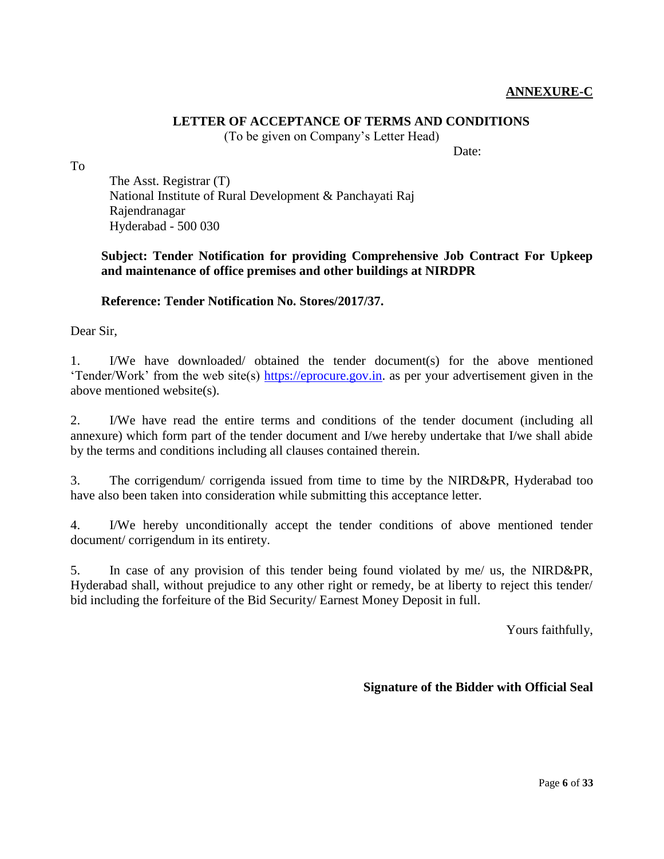## **ANNEXURE-C**

# **LETTER OF ACCEPTANCE OF TERMS AND CONDITIONS**

(To be given on Company's Letter Head)

Date:

To

The Asst. Registrar (T) National Institute of Rural Development & Panchayati Raj Rajendranagar Hyderabad - 500 030

# **Subject: Tender Notification for providing Comprehensive Job Contract For Upkeep and maintenance of office premises and other buildings at NIRDPR**

# **Reference: Tender Notification No. Stores/2017/37.**

Dear Sir,

1. I/We have downloaded/ obtained the tender document(s) for the above mentioned 'Tender/Work' from the web site(s) [https://eprocure.gov.in.](https://eprocure.gov.in/) as per your advertisement given in the above mentioned website(s).

2. I/We have read the entire terms and conditions of the tender document (including all annexure) which form part of the tender document and I/we hereby undertake that I/we shall abide by the terms and conditions including all clauses contained therein.

3. The corrigendum/ corrigenda issued from time to time by the NIRD&PR, Hyderabad too have also been taken into consideration while submitting this acceptance letter.

4. I/We hereby unconditionally accept the tender conditions of above mentioned tender document/ corrigendum in its entirety.

5. In case of any provision of this tender being found violated by me/ us, the NIRD&PR, Hyderabad shall, without prejudice to any other right or remedy, be at liberty to reject this tender/ bid including the forfeiture of the Bid Security/ Earnest Money Deposit in full.

Yours faithfully,

## **Signature of the Bidder with Official Seal**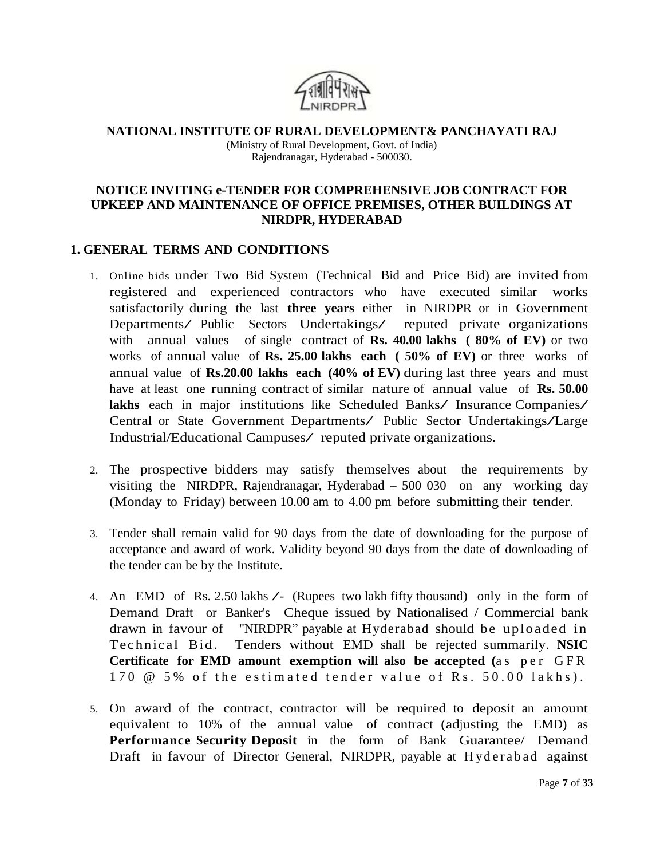

**NATIONAL INSTITUTE OF RURAL DEVELOPMENT& PANCHAYATI RAJ** (Ministry of Rural Development, Govt. of India) Rajendranagar, Hyderabad - 500030.

## **NOTICE INVITING e-TENDER FOR COMPREHENSIVE JOB CONTRACT FOR UPKEEP AND MAINTENANCE OF OFFICE PREMISES, OTHER BUILDINGS AT NIRDPR, HYDERABAD**

# **1. GENERAL TERMS AND CONDITIONS**

- 1. Online bids under Two Bid System (Technical Bid and Price Bid) are invited from registered and experienced contractors who have executed similar works satisfactorily during the last **three years** either in NIRDPR or in Government Departments/ Public Sectors Undertakings/ reputed private organizations with annual values of single contract of **Rs. 40.00 lakhs ( 80% of EV)** or two works of annual value of **Rs. 25.00 lakhs each ( 50% of EV)** or three works of annual value of **Rs.20.00 lakhs each (40% of EV)** during last three years and must have at least one running contract of similar nature of annual value of **Rs. 50.00 lakhs** each in major institutions like Scheduled Banks/ Insurance Companies/ Central or State Government Departments/ Public Sector Undertakings/Large Industrial/Educational Campuses/ reputed private organizations.
- 2. The prospective bidders may satisfy themselves about the requirements by visiting the NIRDPR, Rajendranagar, Hyderabad – 500 030 on any working day (Monday to Friday) between 10.00 am to 4.00 pm before submitting their tender.
- 3. Tender shall remain valid for 90 days from the date of downloading for the purpose of acceptance and award of work. Validity beyond 90 days from the date of downloading of the tender can be by the Institute.
- 4. An EMD of Rs. 2.50 lakhs /- (Rupees two lakh fifty thousand) only in the form of Demand Draft or Banker's Cheque issued by Nationalised / Commercial bank drawn in favour of "NIRDPR" payable at Hyderabad should be uploaded in Technical Bid. Tenders without EMD shall be rejected summarily. **NSIC Certificate** for **EMD** amount **exemption** will also be accepted (as per GFR  $170 \t@ 5\%$  of the estimated tender value of Rs.  $50.00$  lakhs).
- 5. On award of the contract, contractor will be required to deposit an amount equivalent to 10% of the annual value of contract (adjusting the EMD) as **Performance Security Deposit** in the form of Bank Guarantee/ Demand Draft in favour of Director General, NIRDPR, payable at Hyderabad against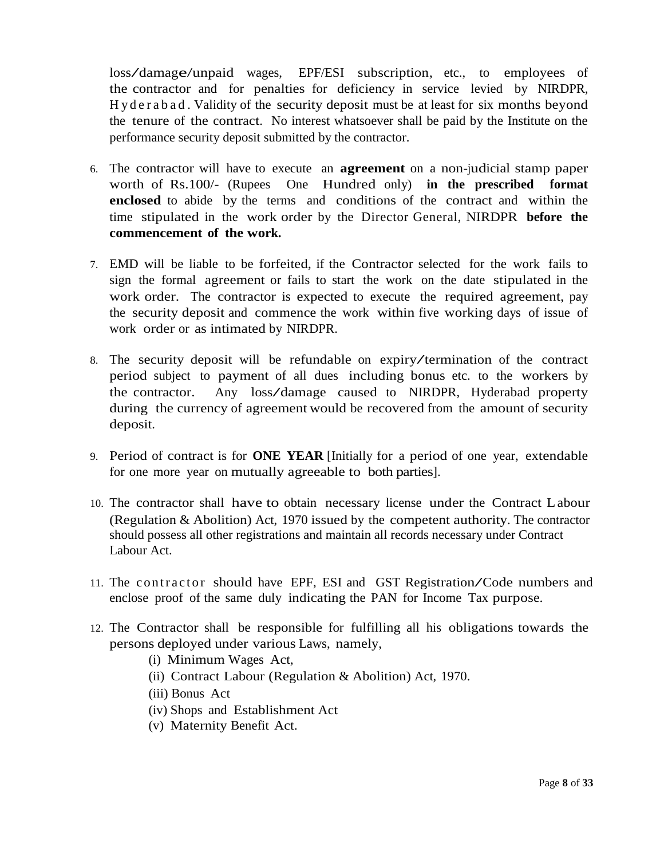loss/damage/unpaid wages, EPF/ESI subscription, etc., to employees of the contractor and for penalties for deficiency in service levied by NIRDPR, H y d e r a b a d . Validity of the security deposit must be at least for six months beyond the tenure of the contract. No interest whatsoever shall be paid by the Institute on the performance security deposit submitted by the contractor.

- 6. The contractor will have to execute an **agreement** on a non-judicial stamp paper worth of Rs.100/- (Rupees One Hundred only) **in the prescribed format enclosed** to abide by the terms and conditions of the contract and within the time stipulated in the work order by the Director General, NIRDPR **before the commencement of the work.**
- 7. EMD will be liable to be forfeited, if the Contractor selected for the work fails to sign the formal agreement or fails to start the work on the date stipulated in the work order. The contractor is expected to execute the required agreement, pay the security deposit and commence the work within five working days of issue of work order or as intimated by NIRDPR.
- 8. The security deposit will be refundable on expiry/termination of the contract period subject to payment of all dues including bonus etc. to the workers by the contractor. Any loss/damage caused to NIRDPR, Hyderabad property during the currency of agreement would be recovered from the amount of security deposit.
- 9. Period of contract is for **ONE YEAR** [Initially for a period of one year, extendable for one more year on mutually agreeable to both parties].
- 10. The contractor shall have to obtain necessary license under the Contract Labour (Regulation & Abolition) Act, 1970 issued by the competent authority. The contractor should possess all other registrations and maintain all records necessary under Contract Labour Act.
- 11. The contractor should have EPF, ESI and GST Registration/Code numbers and enclose proof of the same duly indicating the PAN for Income Tax purpose.
- 12. The Contractor shall be responsible for fulfilling all his obligations towards the persons deployed under various Laws, namely,
	- (i) Minimum Wages Act,
	- (ii) Contract Labour (Regulation & Abolition) Act, 1970.
	- (iii) Bonus Act
	- (iv) Shops and Establishment Act
	- (v) Maternity Benefit Act.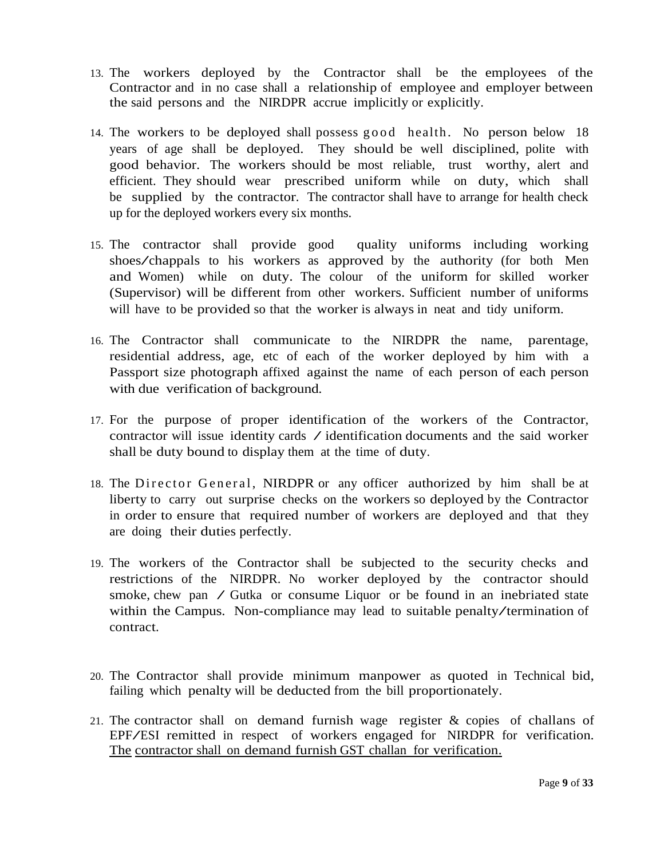- 13. The workers deployed by the Contractor shall be the employees of the Contractor and in no case shall a relationship of employee and employer between the said persons and the NIRDPR accrue implicitly or explicitly.
- 14. The workers to be deployed shall possess good health. No person below 18 years of age shall be deployed. They should be well disciplined, polite with good behavior. The workers should be most reliable, trust worthy, alert and efficient. They should wear prescribed uniform while on duty, which shall be supplied by the contractor. The contractor shall have to arrange for health check up for the deployed workers every six months.
- 15. The contractor shall provide good quality uniforms including working shoes/chappals to his workers as approved by the authority (for both Men and Women) while on duty. The colour of the uniform for skilled worker (Supervisor) will be different from other workers. Sufficient number of uniforms will have to be provided so that the worker is always in neat and tidy uniform.
- 16. The Contractor shall communicate to the NIRDPR the name, parentage, residential address, age, etc of each of the worker deployed by him with a Passport size photograph affixed against the name of each person of each person with due verification of background.
- 17. For the purpose of proper identification of the workers of the Contractor, contractor will issue identity cards  $\diagup$  identification documents and the said worker shall be duty bound to display them at the time of duty.
- 18. The Director General, NIRDPR or any officer authorized by him shall be at liberty to carry out surprise checks on the workers so deployed by the Contractor in order to ensure that required number of workers are deployed and that they are doing their duties perfectly.
- 19. The workers of the Contractor shall be subjected to the security checks and restrictions of the NIRDPR. No worker deployed by the contractor should smoke, chew pan / Gutka or consume Liquor or be found in an inebriated state within the Campus. Non-compliance may lead to suitable penalty/termination of contract.
- 20. The Contractor shall provide minimum manpower as quoted in Technical bid, failing which penalty will be deducted from the bill proportionately.
- 21. The contractor shall on demand furnish wage register & copies of challans of EPF/ESI remitted in respect of workers engaged for NIRDPR for verification. The contractor shall on demand furnish GST challan for verification.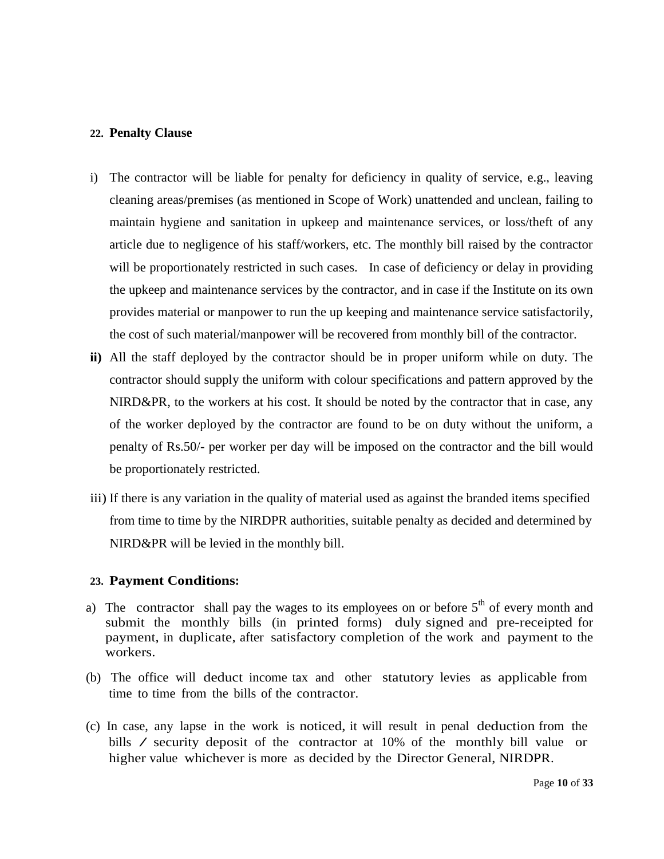#### **22. Penalty Clause**

- i) The contractor will be liable for penalty for deficiency in quality of service, e.g., leaving cleaning areas/premises (as mentioned in Scope of Work) unattended and unclean, failing to maintain hygiene and sanitation in upkeep and maintenance services, or loss/theft of any article due to negligence of his staff/workers, etc. The monthly bill raised by the contractor will be proportionately restricted in such cases. In case of deficiency or delay in providing the upkeep and maintenance services by the contractor, and in case if the Institute on its own provides material or manpower to run the up keeping and maintenance service satisfactorily, the cost of such material/manpower will be recovered from monthly bill of the contractor.
- **ii)** All the staff deployed by the contractor should be in proper uniform while on duty. The contractor should supply the uniform with colour specifications and pattern approved by the NIRD&PR, to the workers at his cost. It should be noted by the contractor that in case, any of the worker deployed by the contractor are found to be on duty without the uniform, a penalty of Rs.50/- per worker per day will be imposed on the contractor and the bill would be proportionately restricted.
- iii) If there is any variation in the quality of material used as against the branded items specified from time to time by the NIRDPR authorities, suitable penalty as decided and determined by NIRD&PR will be levied in the monthly bill.

#### **23. Payment Conditions:**

- a) The contractor shall pay the wages to its employees on or before  $5<sup>th</sup>$  of every month and submit the monthly bills (in printed forms) duly signed and pre-receipted for payment, in duplicate, after satisfactory completion of the work and payment to the workers.
- (b) The office will deduct income tax and other statutory levies as applicable from time to time from the bills of the contractor.
- (c) In case, any lapse in the work is noticed, it will result in penal deduction from the bills / security deposit of the contractor at 10% of the monthly bill value or higher value whichever is more as decided by the Director General, NIRDPR.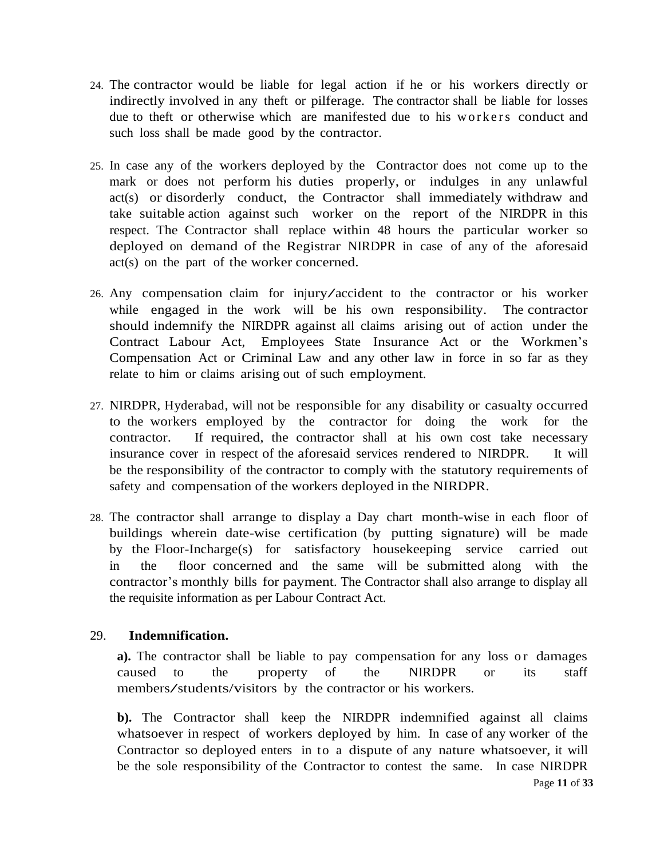- 24. The contractor would be liable for legal action if he or his workers directly or indirectly involved in any theft or pilferage. The contractor shall be liable for losses due to theft or otherwise which are manifested due to his workers conduct and such loss shall be made good by the contractor.
- 25. In case any of the workers deployed by the Contractor does not come up to the mark or does not perform his duties properly, or indulges in any unlawful act(s) or disorderly conduct, the Contractor shall immediately withdraw and take suitable action against such worker on the report of the NIRDPR in this respect. The Contractor shall replace within 48 hours the particular worker so deployed on demand of the Registrar NIRDPR in case of any of the aforesaid act(s) on the part of the worker concerned.
- 26. Any compensation claim for injury/accident to the contractor or his worker while engaged in the work will be his own responsibility. The contractor should indemnify the NIRDPR against all claims arising out of action under the Contract Labour Act, Employees State Insurance Act or the Workmen's Compensation Act or Criminal Law and any other law in force in so far as they relate to him or claims arising out of such employment.
- 27. NIRDPR, Hyderabad, will not be responsible for any disability or casualty occurred to the workers employed by the contractor for doing the work for the contractor. If required, the contractor shall at his own cost take necessary insurance cover in respect of the aforesaid services rendered to NIRDPR. It will be the responsibility of the contractor to comply with the statutory requirements of safety and compensation of the workers deployed in the NIRDPR.
- 28. The contractor shall arrange to display a Day chart month-wise in each floor of buildings wherein date-wise certification (by putting signature) will be made by the Floor-Incharge(s) for satisfactory housekeeping service carried out in the floor concerned and the same will be submitted along with the contractor's monthly bills for payment. The Contractor shall also arrange to display all the requisite information as per Labour Contract Act.

# 29. **Indemnification.**

**a**). The contractor shall be liable to pay compensation for any loss or damages caused to the property of the NIRDPR or its staff members/students/visitors by the contractor or his workers.

**b).** The Contractor shall keep the NIRDPR indemnified against all claims whatsoever in respect of workers deployed by him. In case of any worker of the Contractor so deployed enters in to a dispute of any nature whatsoever, it will be the sole responsibility of the Contractor to contest the same. In case NIRDPR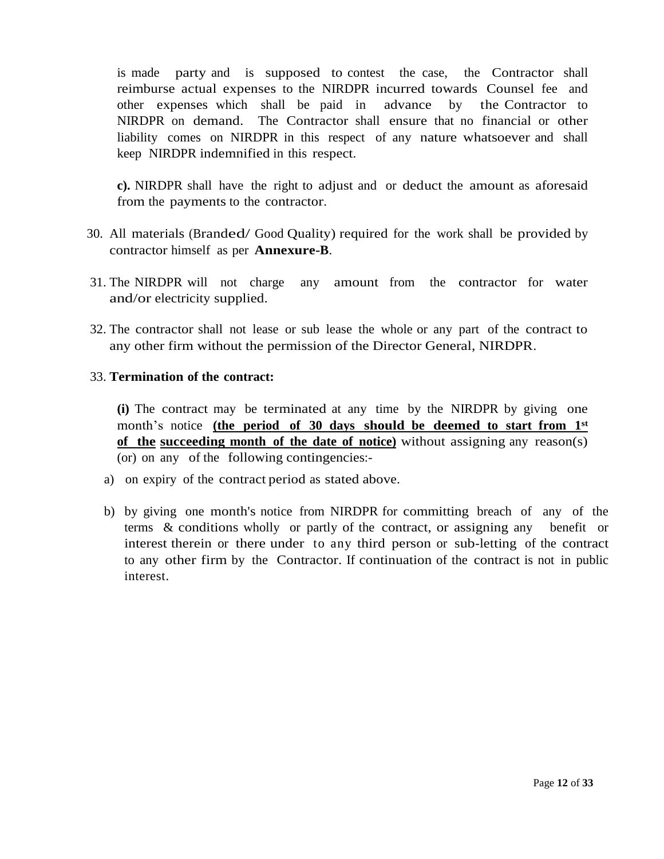is made party and is supposed to contest the case, the Contractor shall reimburse actual expenses to the NIRDPR incurred towards Counsel fee and other expenses which shall be paid in advance by the Contractor to NIRDPR on demand. The Contractor shall ensure that no financial or other liability comes on NIRDPR in this respect of any nature whatsoever and shall keep NIRDPR indemnified in this respect.

**c).** NIRDPR shall have the right to adjust and or deduct the amount as aforesaid from the payments to the contractor.

- 30. All materials (Branded/ Good Quality) required for the work shall be provided by contractor himself as per **Annexure-B**.
- 31. The NIRDPR will not charge any amount from the contractor for water and/or electricity supplied.
- 32. The contractor shall not lease or sub lease the whole or any part of the contract to any other firm without the permission of the Director General, NIRDPR.

## 33. **Termination of the contract:**

**(i)** The contract may be terminated at any time by the NIRDPR by giving one month's notice **(the period of 30 days should be deemed to start from 1st of the succeeding month of the date of notice)** without assigning any reason(s) (or) on any of the following contingencies:-

- a) on expiry of the contract period as stated above.
- b) by giving one month's notice from NIRDPR for committing breach of any of the terms & conditions wholly or partly of the contract, or assigning any benefit or interest therein or there under to any third person or sub-letting of the contract to any other firm by the Contractor. If continuation of the contract is not in public interest.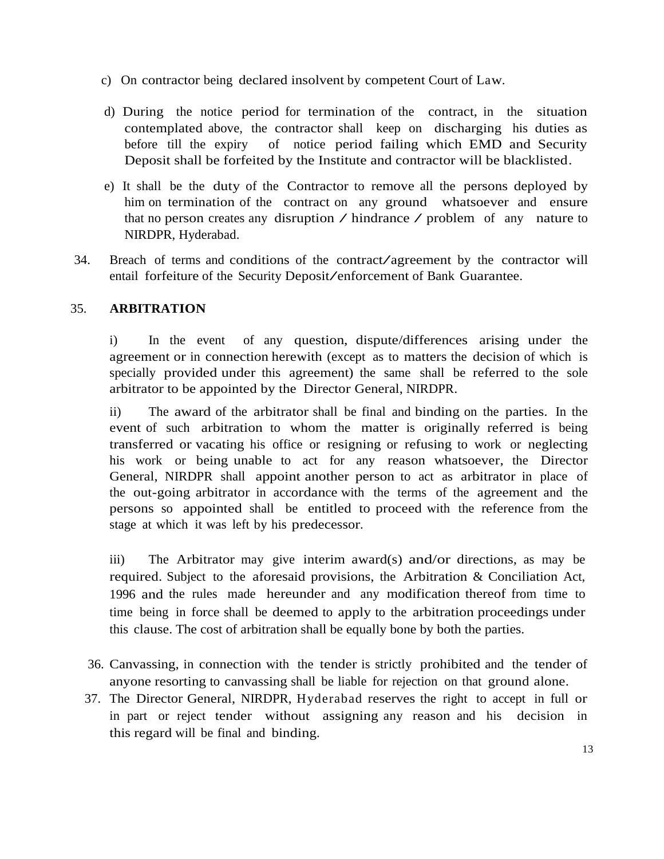- c) On contractor being declared insolvent by competent Court of Law.
- d) During the notice period for termination of the contract, in the situation contemplated above, the contractor shall keep on discharging his duties as before till the expiry of notice period failing which EMD and Security Deposit shall be forfeited by the Institute and contractor will be blacklisted.
- e) It shall be the duty of the Contractor to remove all the persons deployed by him on termination of the contract on any ground whatsoever and ensure that no person creates any disruption / hindrance / problem of any nature to NIRDPR, Hyderabad.
- 34. Breach of terms and conditions of the contract/agreement by the contractor will entail forfeiture of the Security Deposit/enforcement of Bank Guarantee.

# 35. **ARBITRATION**

i) In the event of any question, dispute/differences arising under the agreement or in connection herewith (except as to matters the decision of which is specially provided under this agreement) the same shall be referred to the sole arbitrator to be appointed by the Director General, NIRDPR.

ii) The award of the arbitrator shall be final and binding on the parties. In the event of such arbitration to whom the matter is originally referred is being transferred or vacating his office or resigning or refusing to work or neglecting his work or being unable to act for any reason whatsoever, the Director General, NIRDPR shall appoint another person to act as arbitrator in place of the out-going arbitrator in accordance with the terms of the agreement and the persons so appointed shall be entitled to proceed with the reference from the stage at which it was left by his predecessor.

iii) The Arbitrator may give interim award(s) and/or directions, as may be required. Subject to the aforesaid provisions, the Arbitration & Conciliation Act, 1996 and the rules made hereunder and any modification thereof from time to time being in force shall be deemed to apply to the arbitration proceedings under this clause. The cost of arbitration shall be equally bone by both the parties.

- 36. Canvassing, in connection with the tender is strictly prohibited and the tender of anyone resorting to canvassing shall be liable for rejection on that ground alone.
- 37. The Director General, NIRDPR, Hyderabad reserves the right to accept in full or in part or reject tender without assigning any reason and his decision in this regard will be final and binding.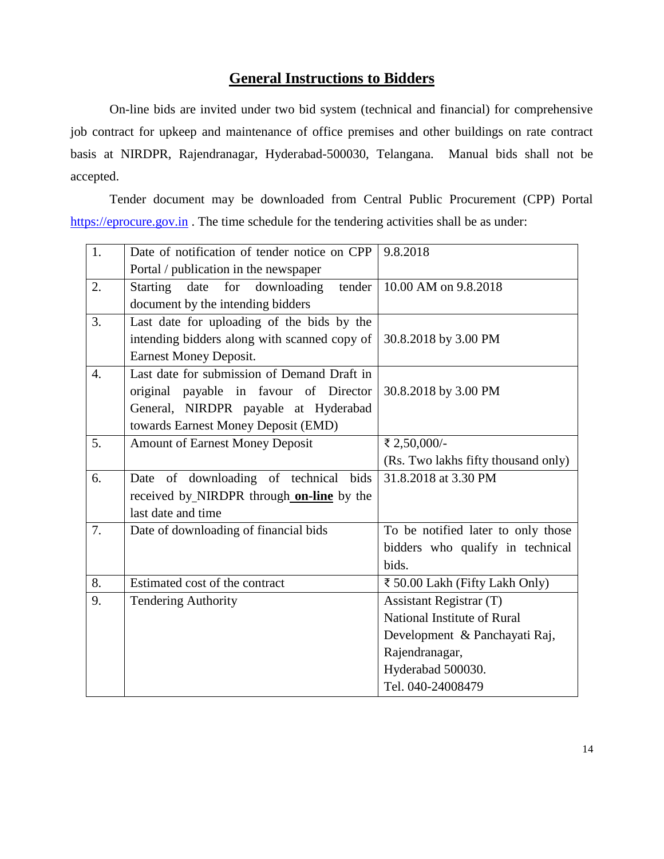# **General Instructions to Bidders**

On-line bids are invited under two bid system (technical and financial) for comprehensive job contract for upkeep and maintenance of office premises and other buildings on rate contract basis at NIRDPR, Rajendranagar, Hyderabad-500030, Telangana. Manual bids shall not be accepted.

Tender document may be downloaded from Central Public Procurement (CPP) Portal [https://eprocure.gov.in](https://eprocure.gov.in/). The time schedule for the tendering activities shall be as under:

| 1.               | Date of notification of tender notice on CPP     | 9.8.2018                            |
|------------------|--------------------------------------------------|-------------------------------------|
|                  | Portal / publication in the newspaper            |                                     |
| 2.               | downloading<br>Starting<br>date<br>for<br>tender | 10.00 AM on 9.8.2018                |
|                  | document by the intending bidders                |                                     |
| 3.               | Last date for uploading of the bids by the       |                                     |
|                  | intending bidders along with scanned copy of     | 30.8.2018 by 3.00 PM                |
|                  | <b>Earnest Money Deposit.</b>                    |                                     |
| $\overline{4}$ . | Last date for submission of Demand Draft in      |                                     |
|                  | original payable in favour of Director           | 30.8.2018 by 3.00 PM                |
|                  | General, NIRDPR payable at Hyderabad             |                                     |
|                  | towards Earnest Money Deposit (EMD)              |                                     |
| 5.               | <b>Amount of Earnest Money Deposit</b>           | ₹ 2,50,000/-                        |
|                  |                                                  | (Rs. Two lakhs fifty thousand only) |
| 6.               | Date of downloading of technical bids            | 31.8.2018 at 3.30 PM                |
|                  | received by NIRDPR through on-line by the        |                                     |
|                  | last date and time                               |                                     |
| 7.               | Date of downloading of financial bids            | To be notified later to only those  |
|                  |                                                  | bidders who qualify in technical    |
|                  |                                                  | bids.                               |
| 8.               | Estimated cost of the contract                   | ₹ 50.00 Lakh (Fifty Lakh Only)      |
| 9.               | <b>Tendering Authority</b>                       | <b>Assistant Registrar (T)</b>      |
|                  |                                                  | National Institute of Rural         |
|                  |                                                  | Development & Panchayati Raj,       |
|                  |                                                  | Rajendranagar,                      |
|                  |                                                  | Hyderabad 500030.                   |
|                  |                                                  | Tel. 040-24008479                   |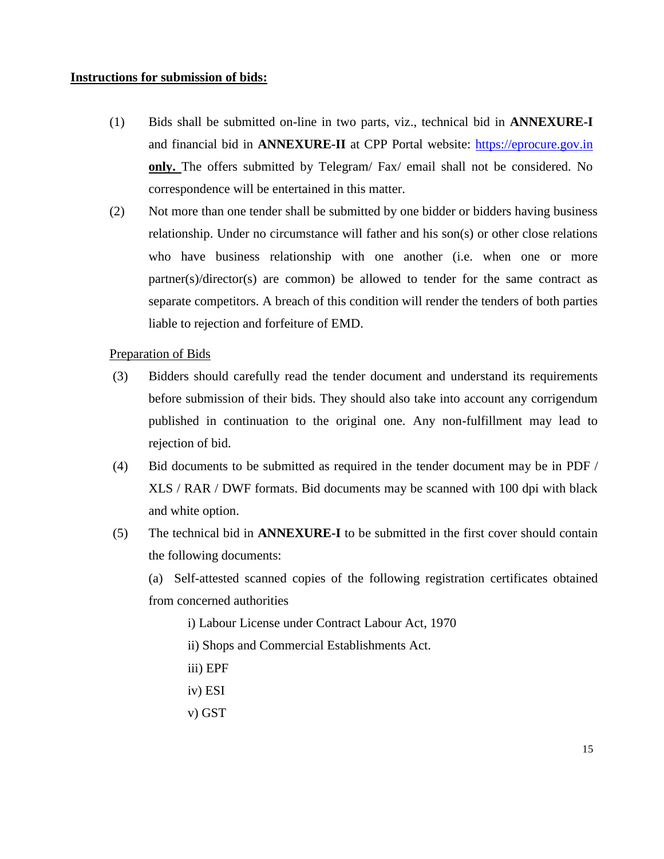#### **Instructions for submission of bids:**

- (1) Bids shall be submitted on-line in two parts, viz., technical bid in **ANNEXURE-I** and financial bid in **ANNEXURE-II** at CPP Portal website: [https://eprocure.gov.in](https://eprocure.gov.in/) **only.** The offers submitted by Telegram/ Fax/ email shall not be considered. No correspondence will be entertained in this matter.
- (2) Not more than one tender shall be submitted by one bidder or bidders having business relationship. Under no circumstance will father and his son(s) or other close relations who have business relationship with one another (i.e. when one or more partner(s)/director(s) are common) be allowed to tender for the same contract as separate competitors. A breach of this condition will render the tenders of both parties liable to rejection and forfeiture of EMD.

#### Preparation of Bids

- (3) Bidders should carefully read the tender document and understand its requirements before submission of their bids. They should also take into account any corrigendum published in continuation to the original one. Any non-fulfillment may lead to rejection of bid.
- (4) Bid documents to be submitted as required in the tender document may be in PDF / XLS / RAR / DWF formats. Bid documents may be scanned with 100 dpi with black and white option.
- (5) The technical bid in **ANNEXURE-I** to be submitted in the first cover should contain the following documents:

(a) Self-attested scanned copies of the following registration certificates obtained from concerned authorities

- i) Labour License under Contract Labour Act, 1970
- ii) Shops and Commercial Establishments Act.
- iii) EPF
- iv) ESI
- v) GST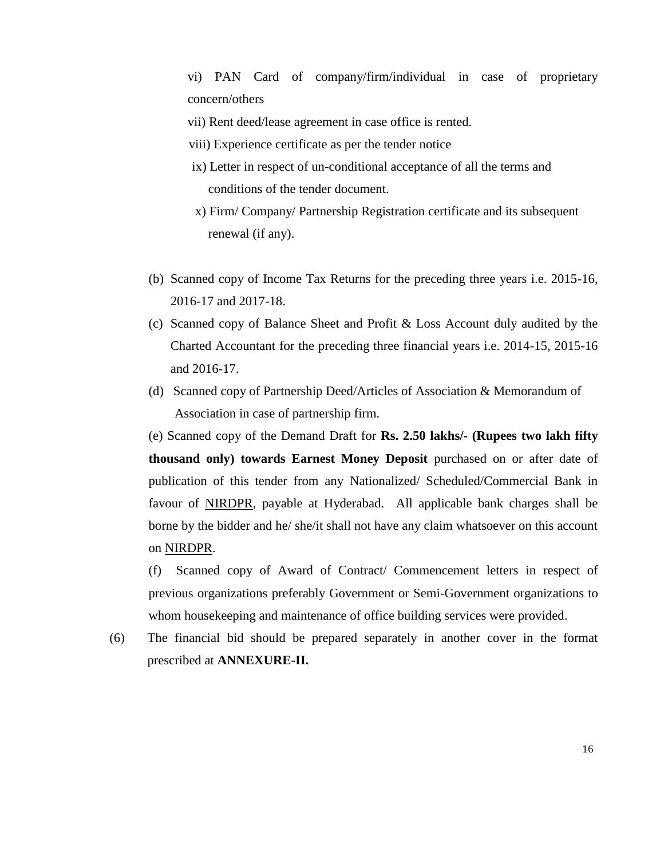vi) PAN Card of company/firm/individual in case of proprietary concern/others

- vii) Rent deed/lease agreement in case office is rented.
- viii) Experience certificate as per the tender notice
- ix) Letter in respect of un-conditional acceptance of all the terms and conditions of the tender document.
- x) Firm/ Company/ Partnership Registration certificate and its subsequent renewal (if any).
- (b) Scanned copy of Income Tax Returns for the preceding three years i.e. 2015-16, 2016-17 and 2017-18.
- (c) Scanned copy of Balance Sheet and Profit & Loss Account duly audited by the Charted Accountant for the preceding three financial years i.e. 2014-15, 2015-16 and 2016-17.
- (d) Scanned copy of Partnership Deed/Articles of Association & Memorandum of Association in case of partnership firm.

(e) Scanned copy of the Demand Draft for **Rs. 2.50 lakhs/- (Rupees two lakh fifty thousand only) towards Earnest Money Deposit** purchased on or after date of publication of this tender from any Nationalized/ Scheduled/Commercial Bank in favour of NIRDPR, payable at Hyderabad. All applicable bank charges shall be borne by the bidder and he/ she/it shall not have any claim whatsoever on this account on NIRDPR.

(f) Scanned copy of Award of Contract/ Commencement letters in respect of previous organizations preferably Government or Semi-Government organizations to whom housekeeping and maintenance of office building services were provided.

(6) The financial bid should be prepared separately in another cover in the format prescribed at **ANNEXURE-II.**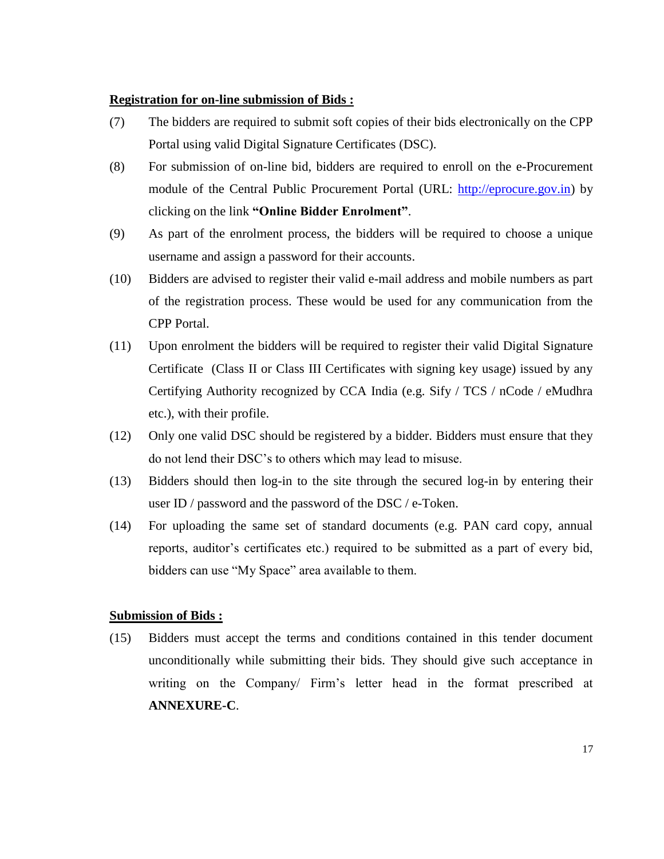#### **Registration for on-line submission of Bids :**

- (7) The bidders are required to submit soft copies of their bids electronically on the CPP Portal using valid Digital Signature Certificates (DSC).
- (8) For submission of on-line bid, bidders are required to enroll on the e-Procurement module of the Central Public Procurement Portal (URL: [http://eprocure.gov.in\)](http://eprocure.gov.in/eprocure/app) by clicking on the link **"Online Bidder Enrolment"**.
- (9) As part of the enrolment process, the bidders will be required to choose a unique username and assign a password for their accounts.
- (10) Bidders are advised to register their valid e-mail address and mobile numbers as part of the registration process. These would be used for any communication from the CPP Portal.
- (11) Upon enrolment the bidders will be required to register their valid Digital Signature Certificate (Class II or Class III Certificates with signing key usage) issued by any Certifying Authority recognized by CCA India (e.g. Sify / TCS / nCode / eMudhra etc.), with their profile.
- (12) Only one valid DSC should be registered by a bidder. Bidders must ensure that they do not lend their DSC's to others which may lead to misuse.
- (13) Bidders should then log-in to the site through the secured log-in by entering their user ID / password and the password of the DSC / e-Token.
- (14) For uploading the same set of standard documents (e.g. PAN card copy, annual reports, auditor's certificates etc.) required to be submitted as a part of every bid, bidders can use "My Space" area available to them.

## **Submission of Bids :**

(15) Bidders must accept the terms and conditions contained in this tender document unconditionally while submitting their bids. They should give such acceptance in writing on the Company/ Firm's letter head in the format prescribed at **ANNEXURE-C**.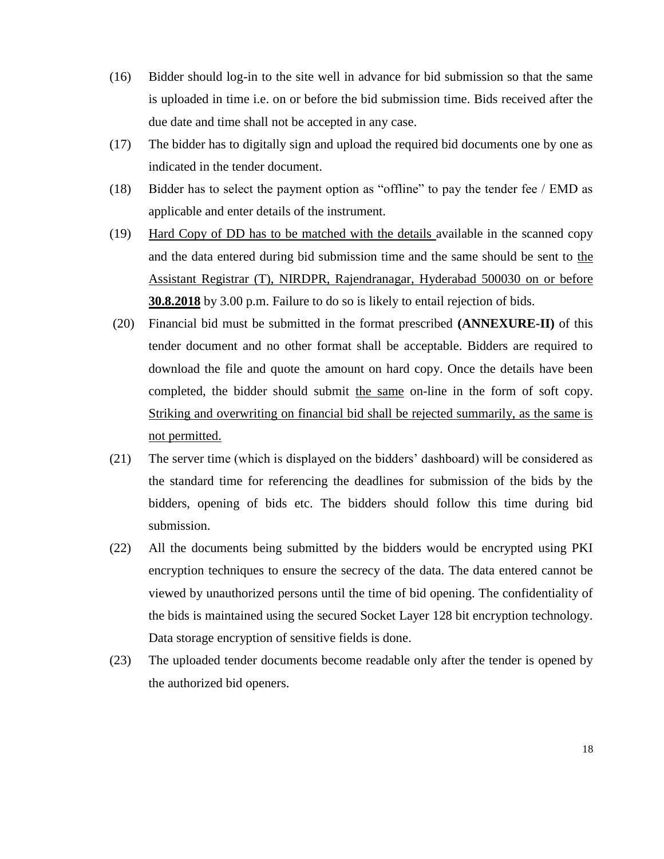- (16) Bidder should log-in to the site well in advance for bid submission so that the same is uploaded in time i.e. on or before the bid submission time. Bids received after the due date and time shall not be accepted in any case.
- (17) The bidder has to digitally sign and upload the required bid documents one by one as indicated in the tender document.
- (18) Bidder has to select the payment option as "offline" to pay the tender fee / EMD as applicable and enter details of the instrument.
- (19) Hard Copy of DD has to be matched with the details available in the scanned copy and the data entered during bid submission time and the same should be sent to the Assistant Registrar (T), NIRDPR, Rajendranagar, Hyderabad 500030 on or before **30.8.2018** by 3.00 p.m. Failure to do so is likely to entail rejection of bids.
- (20) Financial bid must be submitted in the format prescribed **(ANNEXURE-II)** of this tender document and no other format shall be acceptable. Bidders are required to download the file and quote the amount on hard copy. Once the details have been completed, the bidder should submit the same on-line in the form of soft copy. Striking and overwriting on financial bid shall be rejected summarily, as the same is not permitted.
- (21) The server time (which is displayed on the bidders' dashboard) will be considered as the standard time for referencing the deadlines for submission of the bids by the bidders, opening of bids etc. The bidders should follow this time during bid submission.
- (22) All the documents being submitted by the bidders would be encrypted using PKI encryption techniques to ensure the secrecy of the data. The data entered cannot be viewed by unauthorized persons until the time of bid opening. The confidentiality of the bids is maintained using the secured Socket Layer 128 bit encryption technology. Data storage encryption of sensitive fields is done.
- (23) The uploaded tender documents become readable only after the tender is opened by the authorized bid openers.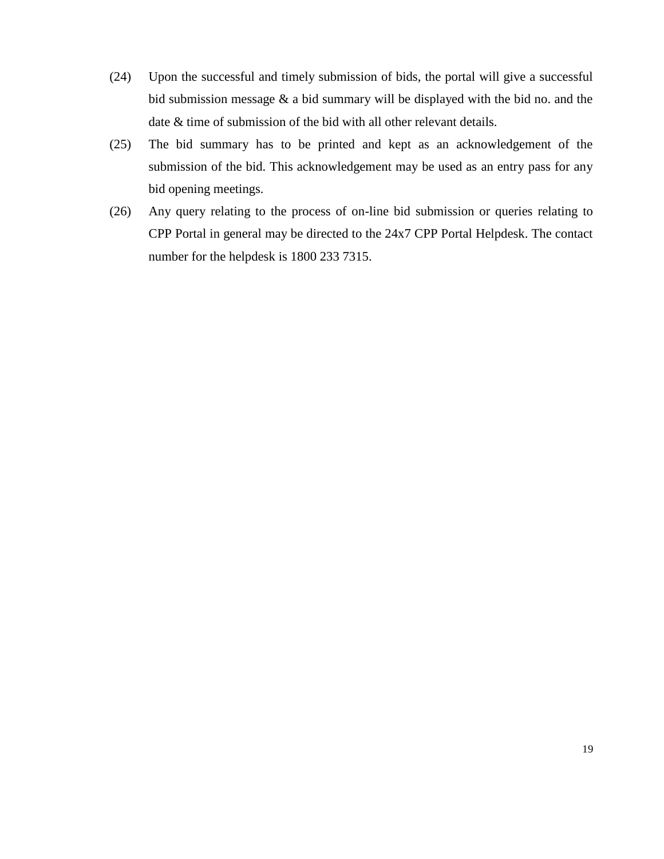- (24) Upon the successful and timely submission of bids, the portal will give a successful bid submission message & a bid summary will be displayed with the bid no. and the date & time of submission of the bid with all other relevant details.
- (25) The bid summary has to be printed and kept as an acknowledgement of the submission of the bid. This acknowledgement may be used as an entry pass for any bid opening meetings.
- (26) Any query relating to the process of on-line bid submission or queries relating to CPP Portal in general may be directed to the 24x7 CPP Portal Helpdesk. The contact number for the helpdesk is 1800 233 7315.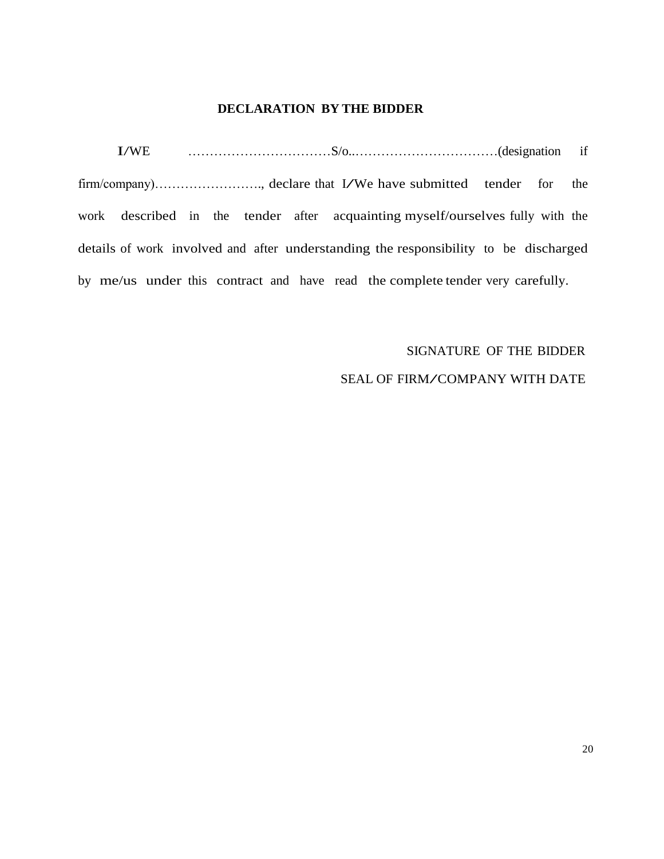# **DECLARATION BY THE BIDDER**

I/WE ……………………………S/o..……………………………(designation if firm/company)……………………., declare that I/We have submitted tender for the work described in the tender after acquainting myself/ourselves fully with the details of work involved and after understanding the responsibility to be discharged by me/us under this contract and have read the complete tender very carefully.

# SIGNATURE OF THE BIDDER

# SEAL OF FIRM/COMPANY WITH DATE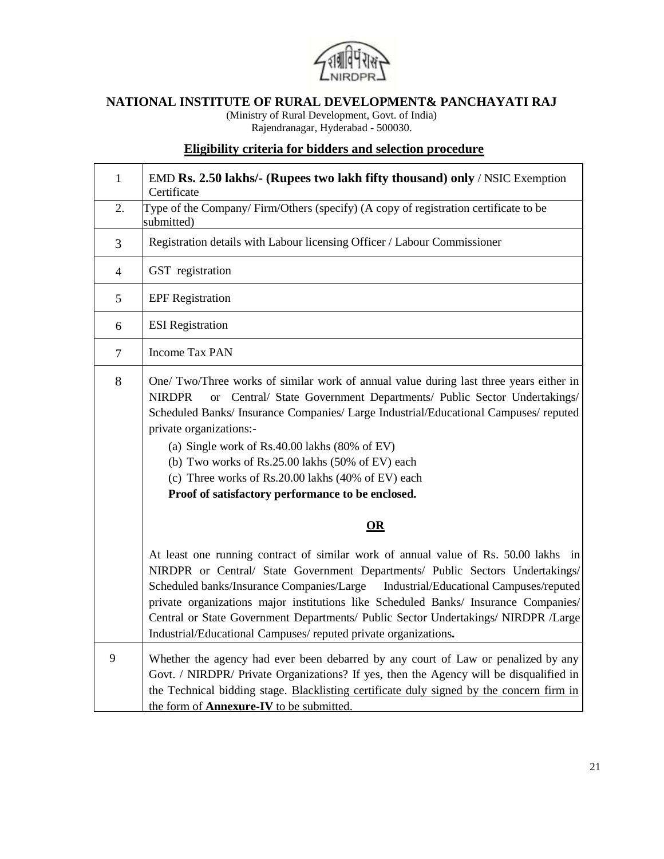

# **NATIONAL INSTITUTE OF RURAL DEVELOPMENT& PANCHAYATI RAJ**

(Ministry of Rural Development, Govt. of India) Rajendranagar, Hyderabad - 500030.

# **Eligibility criteria for bidders and selection procedure**

| $\mathbf{1}$   | EMD Rs. 2.50 lakhs/- (Rupees two lakh fifty thousand) only / NSIC Exemption<br>Certificate                                                                                                                                                                                                                                                                                                                                                                                                                                       |  |  |
|----------------|----------------------------------------------------------------------------------------------------------------------------------------------------------------------------------------------------------------------------------------------------------------------------------------------------------------------------------------------------------------------------------------------------------------------------------------------------------------------------------------------------------------------------------|--|--|
| 2.             | Type of the Company/Firm/Others (specify) (A copy of registration certificate to be<br>submitted)                                                                                                                                                                                                                                                                                                                                                                                                                                |  |  |
| 3              | Registration details with Labour licensing Officer / Labour Commissioner                                                                                                                                                                                                                                                                                                                                                                                                                                                         |  |  |
| $\overline{4}$ | GST registration                                                                                                                                                                                                                                                                                                                                                                                                                                                                                                                 |  |  |
| 5              | <b>EPF</b> Registration                                                                                                                                                                                                                                                                                                                                                                                                                                                                                                          |  |  |
| 6              | <b>ESI</b> Registration                                                                                                                                                                                                                                                                                                                                                                                                                                                                                                          |  |  |
| $\overline{7}$ | <b>Income Tax PAN</b>                                                                                                                                                                                                                                                                                                                                                                                                                                                                                                            |  |  |
| $8\,$          | One/ Two/Three works of similar work of annual value during last three years either in<br>or Central/ State Government Departments/ Public Sector Undertakings/<br><b>NIRDPR</b><br>Scheduled Banks/ Insurance Companies/ Large Industrial/Educational Campuses/ reputed<br>private organizations:-<br>(a) Single work of $Rs.40.00$ lakhs $(80\% \text{ of EV})$<br>(b) Two works of Rs.25.00 lakhs (50% of EV) each<br>(c) Three works of Rs.20.00 lakhs (40% of EV) each<br>Proof of satisfactory performance to be enclosed. |  |  |
|                | OR                                                                                                                                                                                                                                                                                                                                                                                                                                                                                                                               |  |  |
|                | At least one running contract of similar work of annual value of Rs. 50.00 lakhs in<br>NIRDPR or Central/ State Government Departments/ Public Sectors Undertakings/<br>Scheduled banks/Insurance Companies/Large<br>Industrial/Educational Campuses/reputed<br>private organizations major institutions like Scheduled Banks/ Insurance Companies/<br>Central or State Government Departments/ Public Sector Undertakings/ NIRDPR /Large<br>Industrial/Educational Campuses/reputed private organizations.                      |  |  |
| 9              | Whether the agency had ever been debarred by any court of Law or penalized by any<br>Govt. / NIRDPR/ Private Organizations? If yes, then the Agency will be disqualified in<br>the Technical bidding stage. Blacklisting certificate duly signed by the concern firm in<br>the form of <b>Annexure-IV</b> to be submitted.                                                                                                                                                                                                       |  |  |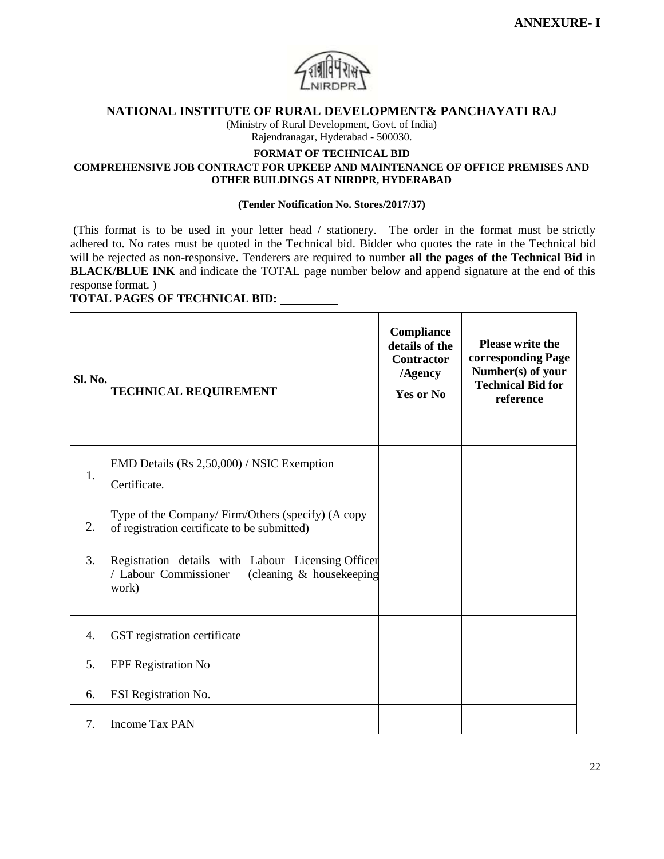

#### **NATIONAL INSTITUTE OF RURAL DEVELOPMENT& PANCHAYATI RAJ**

(Ministry of Rural Development, Govt. of India) Rajendranagar, Hyderabad - 500030.

#### **FORMAT OF TECHNICAL BID**

#### **COMPREHENSIVE JOB CONTRACT FOR UPKEEP AND MAINTENANCE OF OFFICE PREMISES AND OTHER BUILDINGS AT NIRDPR, HYDERABAD**

#### **(Tender Notification No. Stores/2017/37)**

(This format is to be used in your letter head / stationery. The order in the format must be strictly adhered to. No rates must be quoted in the Technical bid. Bidder who quotes the rate in the Technical bid will be rejected as non-responsive. Tenderers are required to number **all the pages of the Technical Bid** in **BLACK/BLUE INK** and indicate the TOTAL page number below and append signature at the end of this response format. )

#### **TOTAL PAGES OF TECHNICAL BID:**

| Sl. No. | <b>TECHNICAL REQUIREMENT</b>                                                                                   | Compliance<br>details of the<br><b>Contractor</b><br>/Agency<br><b>Yes or No</b> | <b>Please write the</b><br>corresponding Page<br>Number(s) of your<br><b>Technical Bid for</b><br>reference |
|---------|----------------------------------------------------------------------------------------------------------------|----------------------------------------------------------------------------------|-------------------------------------------------------------------------------------------------------------|
| 1.      | EMD Details (Rs 2,50,000) / NSIC Exemption                                                                     |                                                                                  |                                                                                                             |
|         | Certificate.                                                                                                   |                                                                                  |                                                                                                             |
| 2.      | Type of the Company/Firm/Others (specify) (A copy<br>of registration certificate to be submitted)              |                                                                                  |                                                                                                             |
| 3.      | Registration details with Labour Licensing Officer<br>Labour Commissioner<br>(cleaning & housekeeping<br>work) |                                                                                  |                                                                                                             |
| 4.      | GST registration certificate                                                                                   |                                                                                  |                                                                                                             |
| 5.      | <b>EPF Registration No</b>                                                                                     |                                                                                  |                                                                                                             |
| 6.      | <b>ESI Registration No.</b>                                                                                    |                                                                                  |                                                                                                             |
| 7.      | <b>Income Tax PAN</b>                                                                                          |                                                                                  |                                                                                                             |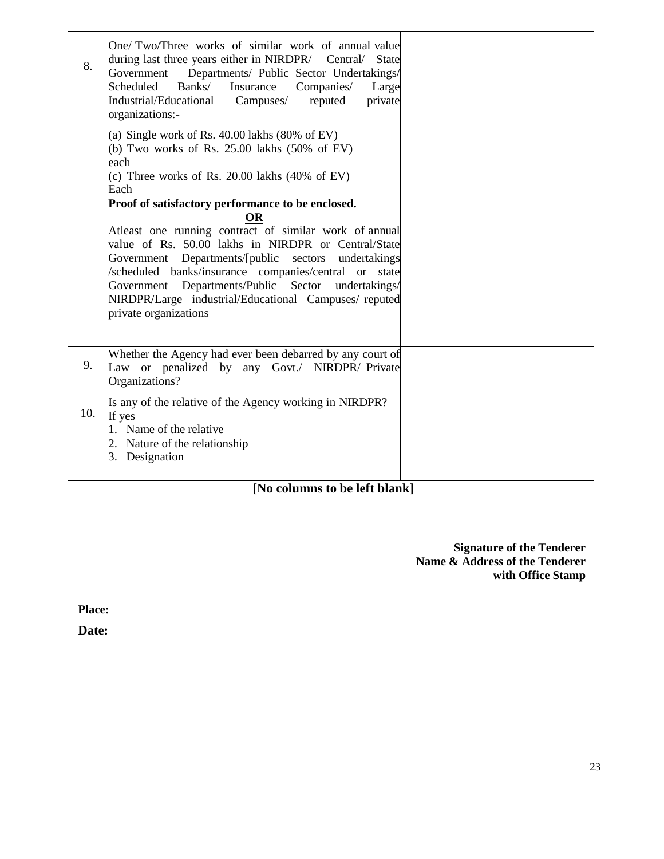| 8.  | One/Two/Three works of similar work of annual value<br>during last three years either in NIRDPR/<br>Central/<br><b>State</b><br>Government Departments/ Public Sector Undertakings/<br>Scheduled<br>Banks/<br>Insurance<br>Companies/<br>Large<br>Industrial/Educational<br>Campuses/<br>reputed<br>private<br>organizations:-                                                |  |
|-----|-------------------------------------------------------------------------------------------------------------------------------------------------------------------------------------------------------------------------------------------------------------------------------------------------------------------------------------------------------------------------------|--|
|     | (a) Single work of Rs. $40.00$ lakhs (80% of EV)<br>(b) Two works of Rs. $25.00$ lakhs $(50\% \text{ of EV})$<br>each<br>(c) Three works of Rs. $20.00$ lakhs $(40\% \text{ of EV})$<br>Each<br>Proof of satisfactory performance to be enclosed.<br>OR                                                                                                                       |  |
|     | Atleast one running contract of similar work of annual<br>value of Rs. 50.00 lakhs in NIRDPR or Central/State<br>Government Departments/[public sectors undertakings<br>/scheduled banks/insurance companies/central or state<br>Departments/Public<br>Sector<br>undertakings/<br>Government<br>NIRDPR/Large industrial/Educational Campuses/reputed<br>private organizations |  |
| 9.  | Whether the Agency had ever been debarred by any court of<br>Law or penalized by any Govt./ NIRDPR/Private<br>Organizations?                                                                                                                                                                                                                                                  |  |
| 10. | Is any of the relative of the Agency working in NIRDPR?<br>If yes<br>Name of the relative<br>2. Nature of the relationship<br>3. Designation                                                                                                                                                                                                                                  |  |

# **[No columns to be left blank]**

**Signature of the Tenderer Name & Address of the Tenderer with Office Stamp**

**Place:**

**Date:**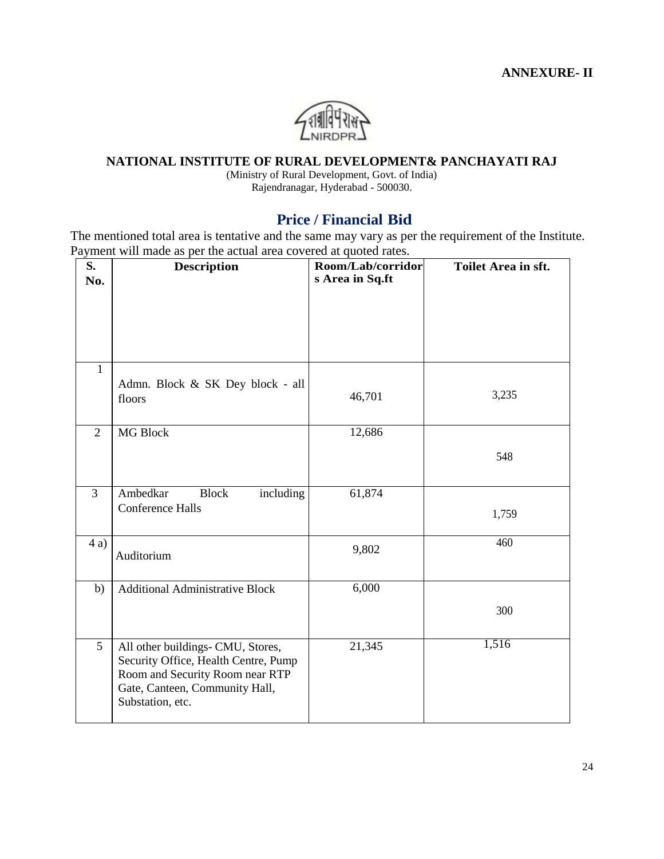

# **NATIONAL INSTITUTE OF RURAL DEVELOPMENT& PANCHAYATI RAJ**

(Ministry of Rural Development, Govt. of India) Rajendranagar, Hyderabad - 500030.

# **Price / Financial Bid**

The mentioned total area is tentative and the same may vary as per the requirement of the Institute. Payment will made as per the actual area covered at quoted rates.

| S.<br>No.      | <b>Description</b>                                                                                                                                                 | Room/Lab/corridor<br>s Area in Sq.ft | Toilet Area in sft. |
|----------------|--------------------------------------------------------------------------------------------------------------------------------------------------------------------|--------------------------------------|---------------------|
|                |                                                                                                                                                                    |                                      |                     |
| $\mathbf{1}$   | Admn. Block & SK Dey block - all<br>floors                                                                                                                         | 46,701                               | 3,235               |
| $\overline{2}$ | MG Block                                                                                                                                                           | 12,686                               | 548                 |
| 3              | Ambedkar<br><b>Block</b><br>including<br><b>Conference Halls</b>                                                                                                   | 61,874                               | 1,759               |
| 4a)            | Auditorium                                                                                                                                                         | 9,802                                | 460                 |
| b)             | <b>Additional Administrative Block</b>                                                                                                                             | 6,000                                | 300                 |
| 5              | All other buildings- CMU, Stores,<br>Security Office, Health Centre, Pump<br>Room and Security Room near RTP<br>Gate, Canteen, Community Hall,<br>Substation, etc. | 21,345                               | 1,516               |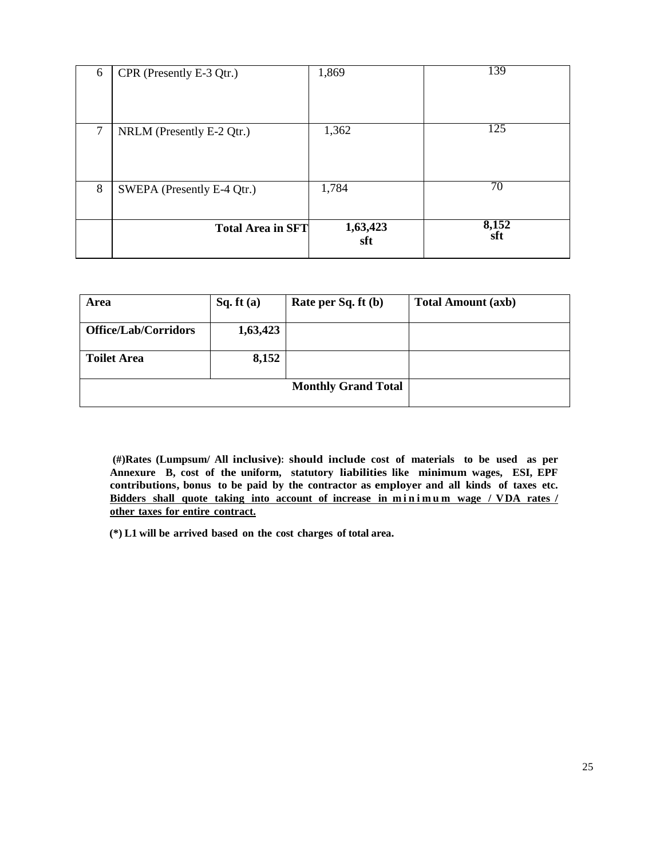| 6 | CPR (Presently E-3 Qtr.)   | 1,869           | 139          |
|---|----------------------------|-----------------|--------------|
| 7 | NRLM (Presently E-2 Qtr.)  | 1,362           | 125          |
| 8 | SWEPA (Presently E-4 Qtr.) | 1,784           | 70           |
|   | <b>Total Area in SFT</b>   | 1,63,423<br>sft | 8,152<br>sft |

| Area                        | Sq. ft(a) | Rate per Sq. ft (b)        | <b>Total Amount (axb)</b> |
|-----------------------------|-----------|----------------------------|---------------------------|
| <b>Office/Lab/Corridors</b> | 1,63,423  |                            |                           |
| <b>Toilet Area</b>          | 8,152     |                            |                           |
|                             |           | <b>Monthly Grand Total</b> |                           |

**(#)Rates (Lumpsum/ All inclusive): should include cost of materials to be used as per Annexure B, cost of the uniform, statutory liabilities like minimum wages, ESI, EPF contributions, bonus to be paid by the contractor as employer and all kinds of taxes etc.**  Bidders shall quote taking into account of increase in minimum wage / VDA rates / **other taxes for entire contract.**

**(\*) L1 will be arrived based on the cost charges of total area.**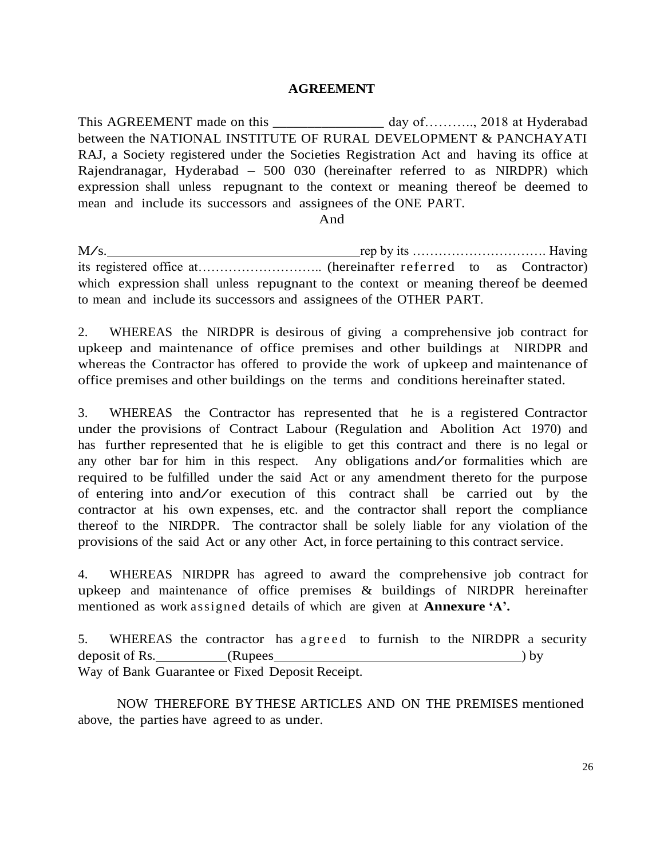#### **AGREEMENT**

This AGREEMENT made on this \_\_\_\_\_\_\_\_\_\_\_\_\_\_\_\_\_\_ day of………., 2018 at Hyderabad between the NATIONAL INSTITUTE OF RURAL DEVELOPMENT & PANCHAYATI RAJ, a Society registered under the Societies Registration Act and having its office at Rajendranagar, Hyderabad – 500 030 (hereinafter referred to as NIRDPR) which expression shall unless repugnant to the context or meaning thereof be deemed to mean and include its successors and assignees of the ONE PART.

And

 $M/s$ . its registered office at……………………….. (hereinafter referred to as Contractor) which expression shall unless repugnant to the context or meaning thereof be deemed to mean and include its successors and assignees of the OTHER PART.

2. WHEREAS the NIRDPR is desirous of giving a comprehensive job contract for upkeep and maintenance of office premises and other buildings at NIRDPR and whereas the Contractor has offered to provide the work of upkeep and maintenance of office premises and other buildings on the terms and conditions hereinafter stated.

3. WHEREAS the Contractor has represented that he is a registered Contractor under the provisions of Contract Labour (Regulation and Abolition Act 1970) and has further represented that he is eligible to get this contract and there is no legal or any other bar for him in this respect. Any obligations and/or formalities which are required to be fulfilled under the said Act or any amendment thereto for the purpose of entering into and/or execution of this contract shall be carried out by the contractor at his own expenses, etc. and the contractor shall report the compliance thereof to the NIRDPR. The contractor shall be solely liable for any violation of the provisions of the said Act or any other Act, in force pertaining to this contract service.

4. WHEREAS NIRDPR has agreed to award the comprehensive job contract for upkeep and maintenance of office premises & buildings of NIRDPR hereinafter mentioned as work assigned details of which are given at **Annexure 'A'.**

5. WHEREAS the contractor has a g reed to furnish to the NIRDPR a security deposit of Rs. (Rupees Way of Bank Guarantee or Fixed Deposit Receipt. ) by

NOW THEREFORE BY THESE ARTICLES AND ON THE PREMISES mentioned above, the parties have agreed to as under.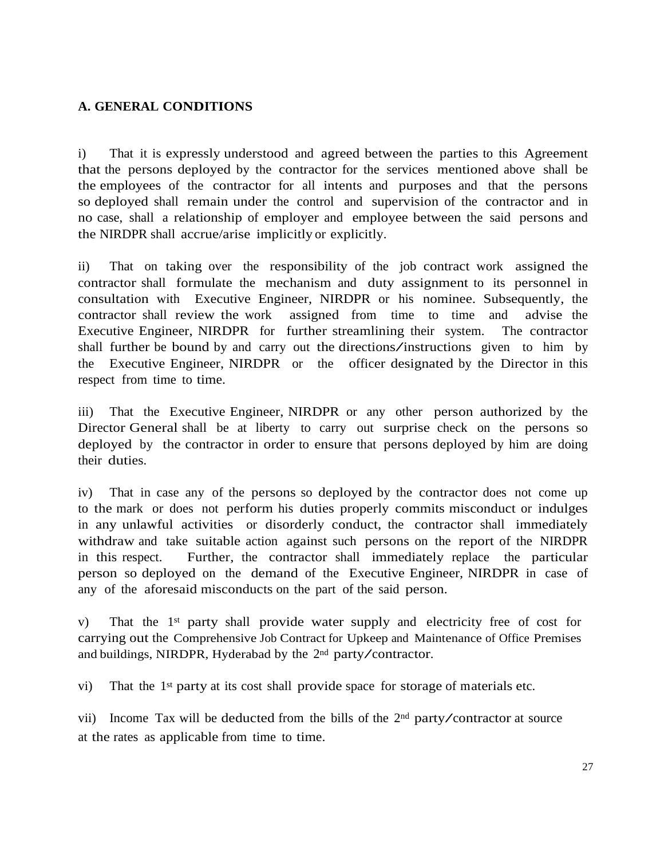# **A. GENERAL CONDITIONS**

i) That it is expressly understood and agreed between the parties to this Agreement that the persons deployed by the contractor for the services mentioned above shall be the employees of the contractor for all intents and purposes and that the persons so deployed shall remain under the control and supervision of the contractor and in no case, shall a relationship of employer and employee between the said persons and the NIRDPR shall accrue/arise implicitly or explicitly.

ii) That on taking over the responsibility of the job contract work assigned the contractor shall formulate the mechanism and duty assignment to its personnel in consultation with Executive Engineer, NIRDPR or his nominee. Subsequently, the contractor shall review the work assigned from time to time and advise the Executive Engineer, NIRDPR for further streamlining their system. The contractor shall further be bound by and carry out the directions/instructions given to him by the Executive Engineer, NIRDPR or the officer designated by the Director in this respect from time to time.

iii) That the Executive Engineer, NIRDPR or any other person authorized by the Director General shall be at liberty to carry out surprise check on the persons so deployed by the contractor in order to ensure that persons deployed by him are doing their duties.

iv) That in case any of the persons so deployed by the contractor does not come up to the mark or does not perform his duties properly commits misconduct or indulges in any unlawful activities or disorderly conduct, the contractor shall immediately withdraw and take suitable action against such persons on the report of the NIRDPR in this respect. Further, the contractor shall immediately replace the particular person so deployed on the demand of the Executive Engineer, NIRDPR in case of any of the aforesaid misconducts on the part of the said person.

v) That the 1st party shall provide water supply and electricity free of cost for carrying out the Comprehensive Job Contract for Upkeep and Maintenance of Office Premises and buildings, NIRDPR, Hyderabad by the <sup>2</sup>nd party/contractor.

vi) That the 1st party at its cost shall provide space for storage of materials etc.

vii) Income Tax will be deducted from the bills of the 2<sup>nd</sup> party/contractor at source at the rates as applicable from time to time.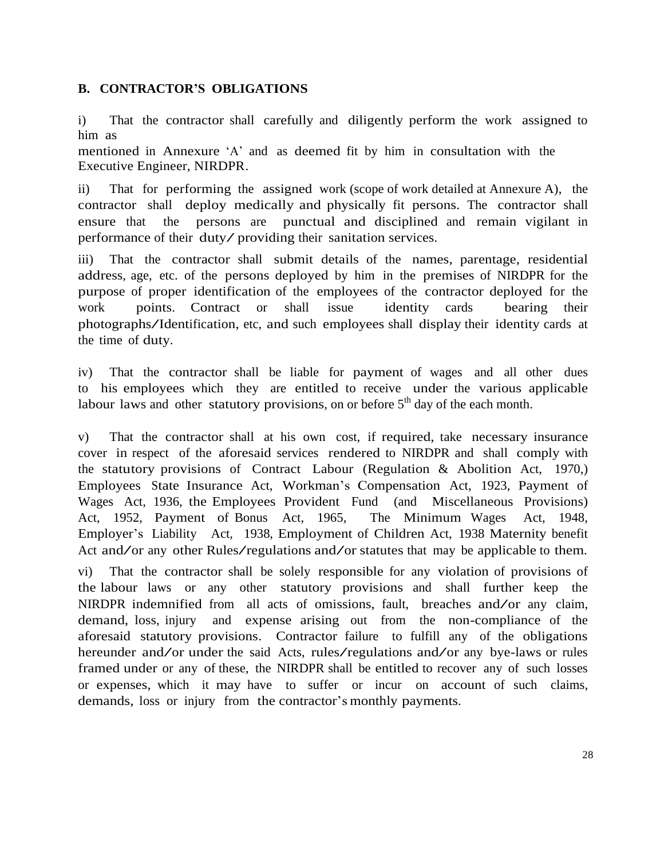# **B. CONTRACTOR'S OBLIGATIONS**

i) That the contractor shall carefully and diligently perform the work assigned to him as

mentioned in Annexure 'A' and as deemed fit by him in consultation with the Executive Engineer, NIRDPR.

ii) That for performing the assigned work (scope of work detailed at Annexure A), the contractor shall deploy medically and physically fit persons. The contractor shall ensure that the persons are punctual and disciplined and remain vigilant in performance of their duty/ providing their sanitation services.

iii) That the contractor shall submit details of the names, parentage, residential address, age, etc. of the persons deployed by him in the premises of NIRDPR for the purpose of proper identification of the employees of the contractor deployed for the work points. Contract or shall issue identity cards bearing their photographs/Identification, etc, and such employees shall display their identity cards at the time of duty.

iv) That the contractor shall be liable for payment of wages and all other dues to his employees which they are entitled to receive under the various applicable labour laws and other statutory provisions, on or before  $5<sup>th</sup>$  day of the each month.

v) That the contractor shall at his own cost, if required, take necessary insurance cover in respect of the aforesaid services rendered to NIRDPR and shall comply with the statutory provisions of Contract Labour (Regulation & Abolition Act, 1970,) Employees State Insurance Act, Workman's Compensation Act, 1923, Payment of Wages Act, 1936, the Employees Provident Fund (and Miscellaneous Provisions) Act, 1952, Payment of Bonus Act, 1965, The Minimum Wages Act, 1948, Employer's Liability Act, 1938, Employment of Children Act, 1938 Maternity benefit Act and/or any other Rules/regulations and/or statutes that may be applicable to them.

vi) That the contractor shall be solely responsible for any violation of provisions of the labour laws or any other statutory provisions and shall further keep the NIRDPR indemnified from all acts of omissions, fault, breaches and/or any claim, demand, loss, injury and expense arising out from the non-compliance of the and expense arising out from the non-compliance of the aforesaid statutory provisions. Contractor failure to fulfill any of the obligations hereunder and/or under the said Acts, rules/regulations and/or any bye-laws or rules framed under or any of these, the NIRDPR shall be entitled to recover any of such losses or expenses, which it may have to suffer or incur on account of such claims, demands, loss or injury from the contractor's monthly payments.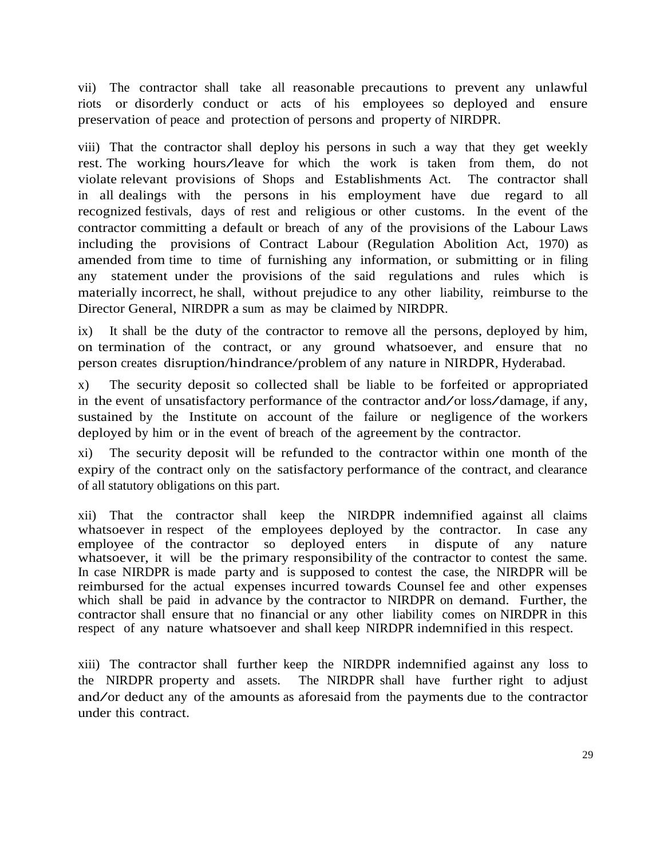vii) The contractor shall take all reasonable precautions to prevent any unlawful riots or disorderly conduct or acts of his employees so deployed and ensure preservation of peace and protection of persons and property of NIRDPR.

viii) That the contractor shall deploy his persons in such a way that they get weekly rest. The working hours/leave for which the work is taken from them, do not violate relevant provisions of Shops and Establishments Act. The contractor shall in all dealings with the persons in his employment have due regard to all recognized festivals, days of rest and religious or other customs. In the event of the contractor committing a default or breach of any of the provisions of the Labour Laws including the provisions of Contract Labour (Regulation Abolition Act, 1970) as amended from time to time of furnishing any information, or submitting or in filing any statement under the provisions of the said regulations and rules which is materially incorrect, he shall, without prejudice to any other liability, reimburse to the Director General, NIRDPR a sum as may be claimed by NIRDPR.

ix) It shall be the duty of the contractor to remove all the persons, deployed by him, on termination of the contract, or any ground whatsoever, and ensure that no person creates disruption/hindrance/problem of any nature in NIRDPR, Hyderabad.

x) The security deposit so collected shall be liable to be forfeited or appropriated in the event of unsatisfactory performance of the contractor and/or loss/damage, if any, sustained by the Institute on account of the failure or negligence of the workers deployed by him or in the event of breach of the agreement by the contractor.

xi) The security deposit will be refunded to the contractor within one month of the expiry of the contract only on the satisfactory performance of the contract, and clearance of all statutory obligations on this part.

xii) That the contractor shall keep the NIRDPR indemnified against all claims whatsoever in respect of the employees deployed by the contractor. In case any employee of the contractor so deployed enters in dispute of any nature whatsoever, it will be the primary responsibility of the contractor to contest the same. In case NIRDPR is made party and is supposed to contest the case, the NIRDPR will be reimbursed for the actual expenses incurred towards Counsel fee and other expenses which shall be paid in advance by the contractor to NIRDPR on demand. Further, the contractor shall ensure that no financial or any other liability comes on NIRDPR in this respect of any nature whatsoever and shall keep NIRDPR indemnified in this respect.

xiii) The contractor shall further keep the NIRDPR indemnified against any loss to the NIRDPR property and assets. The NIRDPR shall have further right to adjust and/or deduct any of the amounts as aforesaid from the payments due to the contractor under this contract.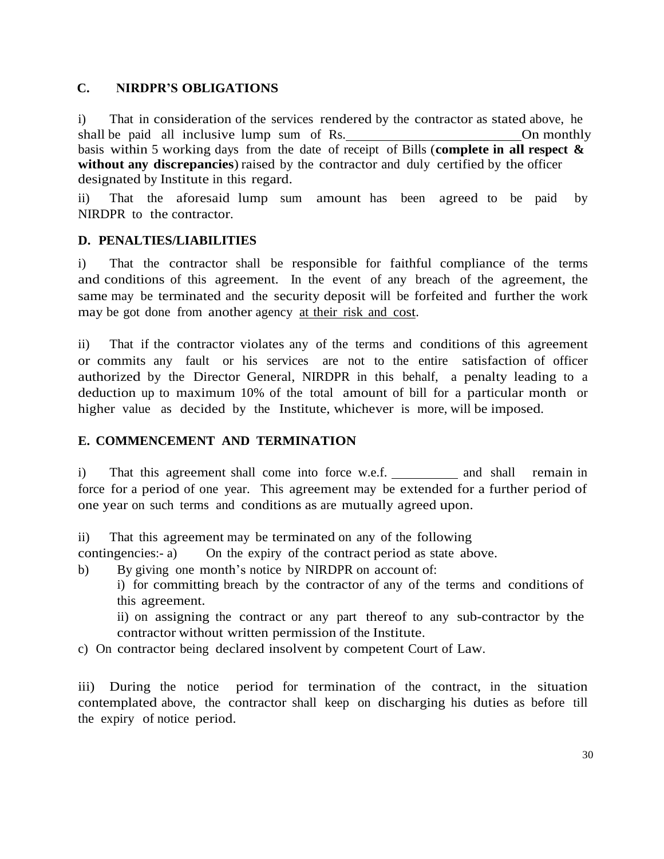# **C. NIRDPR'S OBLIGATIONS**

i) That in consideration of the services rendered by the contractor as stated above, he shall be paid all inclusive lump sum of Rs. On monthly basis within 5 working days from the date of receipt of Bills (**complete in all respect & without any discrepancies**) raised by the contractor and duly certified by the officer designated by Institute in this regard.

ii) That the aforesaid lump sum amount has been agreed to be paid by NIRDPR to the contractor.

# **D. PENALTIES/LIABILITIES**

i) That the contractor shall be responsible for faithful compliance of the terms and conditions of this agreement. In the event of any breach of the agreement, the same may be terminated and the security deposit will be forfeited and further the work may be got done from another agency at their risk and cost.

ii) That if the contractor violates any of the terms and conditions of this agreement or commits any fault or his services are not to the entire satisfaction of officer authorized by the Director General, NIRDPR in this behalf, a penalty leading to a deduction up to maximum 10% of the total amount of bill for a particular month or higher value as decided by the Institute, whichever is more, will be imposed.

# **E. COMMENCEMENT AND TERMINATION**

i) That this agreement shall come into force w.e.f. and shall remain in force for a period of one year. This agreement may be extended for a further period of one year on such terms and conditions as are mutually agreed upon.

ii) That this agreement may be terminated on any of the following

contingencies:- a) On the expiry of the contract period as state above.

b) By giving one month's notice by NIRDPR on account of:

i) for committing breach by the contractor of any of the terms and conditions of this agreement.

ii) on assigning the contract or any part thereof to any sub-contractor by the contractor without written permission of the Institute.

c) On contractor being declared insolvent by competent Court of Law.

iii) During the notice period for termination of the contract, in the situation contemplated above, the contractor shall keep on discharging his duties as before till the expiry of notice period.